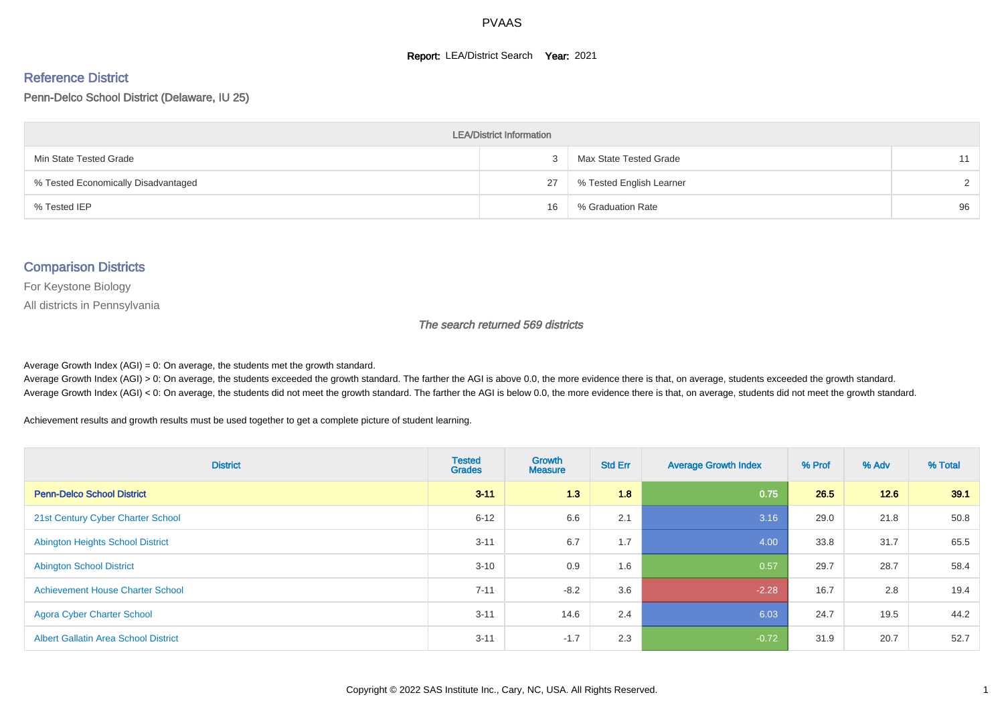#### **Report: LEA/District Search Year: 2021**

#### Reference District

Penn-Delco School District (Delaware, IU 25)

| <b>LEA/District Information</b>     |    |                          |               |  |  |  |  |  |  |  |
|-------------------------------------|----|--------------------------|---------------|--|--|--|--|--|--|--|
| Min State Tested Grade              |    | Max State Tested Grade   | 11            |  |  |  |  |  |  |  |
| % Tested Economically Disadvantaged | 27 | % Tested English Learner | $\mathcal{D}$ |  |  |  |  |  |  |  |
| % Tested IEP                        | 16 | % Graduation Rate        | 96            |  |  |  |  |  |  |  |

#### Comparison Districts

For Keystone Biology

All districts in Pennsylvania

The search returned 569 districts

Average Growth Index  $(AGI) = 0$ : On average, the students met the growth standard.

Average Growth Index (AGI) > 0: On average, the students exceeded the growth standard. The farther the AGI is above 0.0, the more evidence there is that, on average, students exceeded the growth standard. Average Growth Index (AGI) < 0: On average, the students did not meet the growth standard. The farther the AGI is below 0.0, the more evidence there is that, on average, students did not meet the growth standard.

Achievement results and growth results must be used together to get a complete picture of student learning.

| <b>District</b>                             | <b>Tested</b><br><b>Grades</b> | <b>Growth</b><br><b>Measure</b> | <b>Std Err</b> | <b>Average Growth Index</b> | % Prof | % Adv | % Total |
|---------------------------------------------|--------------------------------|---------------------------------|----------------|-----------------------------|--------|-------|---------|
| <b>Penn-Delco School District</b>           | $3 - 11$                       | 1.3                             | 1.8            | 0.75                        | 26.5   | 12.6  | 39.1    |
| 21st Century Cyber Charter School           | $6 - 12$                       | 6.6                             | 2.1            | 3.16                        | 29.0   | 21.8  | 50.8    |
| <b>Abington Heights School District</b>     | $3 - 11$                       | 6.7                             | 1.7            | 4.00                        | 33.8   | 31.7  | 65.5    |
| <b>Abington School District</b>             | $3 - 10$                       | 0.9                             | 1.6            | 0.57                        | 29.7   | 28.7  | 58.4    |
| <b>Achievement House Charter School</b>     | $7 - 11$                       | $-8.2$                          | 3.6            | $-2.28$                     | 16.7   | 2.8   | 19.4    |
| <b>Agora Cyber Charter School</b>           | $3 - 11$                       | 14.6                            | 2.4            | 6.03                        | 24.7   | 19.5  | 44.2    |
| <b>Albert Gallatin Area School District</b> | $3 - 11$                       | $-1.7$                          | 2.3            | $-0.72$                     | 31.9   | 20.7  | 52.7    |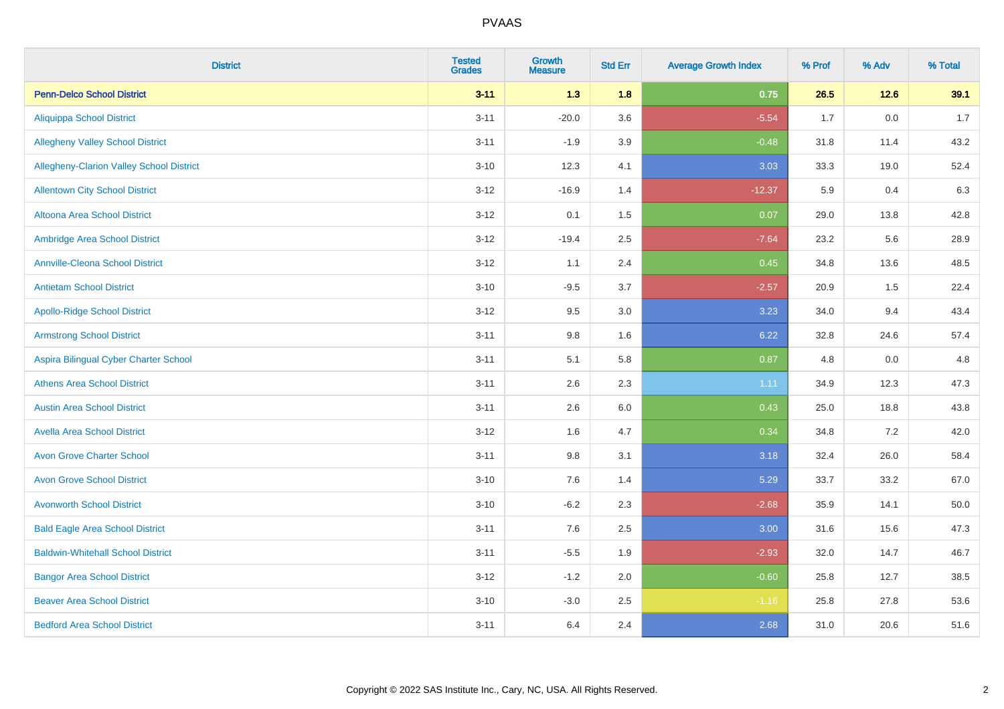| <b>District</b>                                 | <b>Tested</b><br><b>Grades</b> | <b>Growth</b><br><b>Measure</b> | <b>Std Err</b> | <b>Average Growth Index</b> | % Prof | % Adv   | % Total |
|-------------------------------------------------|--------------------------------|---------------------------------|----------------|-----------------------------|--------|---------|---------|
| <b>Penn-Delco School District</b>               | $3 - 11$                       | 1.3                             | 1.8            | 0.75                        | 26.5   | $12.6$  | 39.1    |
| <b>Aliquippa School District</b>                | $3 - 11$                       | $-20.0$                         | 3.6            | $-5.54$                     | 1.7    | $0.0\,$ | 1.7     |
| <b>Allegheny Valley School District</b>         | $3 - 11$                       | $-1.9$                          | 3.9            | $-0.48$                     | 31.8   | 11.4    | 43.2    |
| <b>Allegheny-Clarion Valley School District</b> | $3 - 10$                       | 12.3                            | 4.1            | 3.03                        | 33.3   | 19.0    | 52.4    |
| <b>Allentown City School District</b>           | $3 - 12$                       | $-16.9$                         | 1.4            | $-12.37$                    | 5.9    | 0.4     | 6.3     |
| <b>Altoona Area School District</b>             | $3 - 12$                       | 0.1                             | 1.5            | 0.07                        | 29.0   | 13.8    | 42.8    |
| Ambridge Area School District                   | $3 - 12$                       | $-19.4$                         | 2.5            | $-7.64$                     | 23.2   | 5.6     | 28.9    |
| <b>Annville-Cleona School District</b>          | $3-12$                         | 1.1                             | 2.4            | 0.45                        | 34.8   | 13.6    | 48.5    |
| <b>Antietam School District</b>                 | $3 - 10$                       | $-9.5$                          | 3.7            | $-2.57$                     | 20.9   | 1.5     | 22.4    |
| <b>Apollo-Ridge School District</b>             | $3 - 12$                       | 9.5                             | 3.0            | 3.23                        | 34.0   | 9.4     | 43.4    |
| <b>Armstrong School District</b>                | $3 - 11$                       | 9.8                             | 1.6            | 6.22                        | 32.8   | 24.6    | 57.4    |
| Aspira Bilingual Cyber Charter School           | $3 - 11$                       | 5.1                             | 5.8            | 0.87                        | 4.8    | 0.0     | 4.8     |
| <b>Athens Area School District</b>              | $3 - 11$                       | 2.6                             | 2.3            | 1.11                        | 34.9   | 12.3    | 47.3    |
| <b>Austin Area School District</b>              | $3 - 11$                       | 2.6                             | 6.0            | 0.43                        | 25.0   | 18.8    | 43.8    |
| <b>Avella Area School District</b>              | $3-12$                         | 1.6                             | 4.7            | 0.34                        | 34.8   | $7.2\,$ | 42.0    |
| <b>Avon Grove Charter School</b>                | $3 - 11$                       | $9.8\,$                         | 3.1            | 3.18                        | 32.4   | 26.0    | 58.4    |
| <b>Avon Grove School District</b>               | $3 - 10$                       | 7.6                             | 1.4            | 5.29                        | 33.7   | 33.2    | 67.0    |
| <b>Avonworth School District</b>                | $3 - 10$                       | $-6.2$                          | 2.3            | $-2.68$                     | 35.9   | 14.1    | 50.0    |
| <b>Bald Eagle Area School District</b>          | $3 - 11$                       | 7.6                             | 2.5            | 3.00                        | 31.6   | 15.6    | 47.3    |
| <b>Baldwin-Whitehall School District</b>        | $3 - 11$                       | $-5.5$                          | 1.9            | $-2.93$                     | 32.0   | 14.7    | 46.7    |
| <b>Bangor Area School District</b>              | $3 - 12$                       | $-1.2$                          | 2.0            | $-0.60$                     | 25.8   | 12.7    | 38.5    |
| <b>Beaver Area School District</b>              | $3 - 10$                       | $-3.0$                          | 2.5            | $-1.16$                     | 25.8   | 27.8    | 53.6    |
| <b>Bedford Area School District</b>             | $3 - 11$                       | 6.4                             | 2.4            | 2.68                        | 31.0   | 20.6    | 51.6    |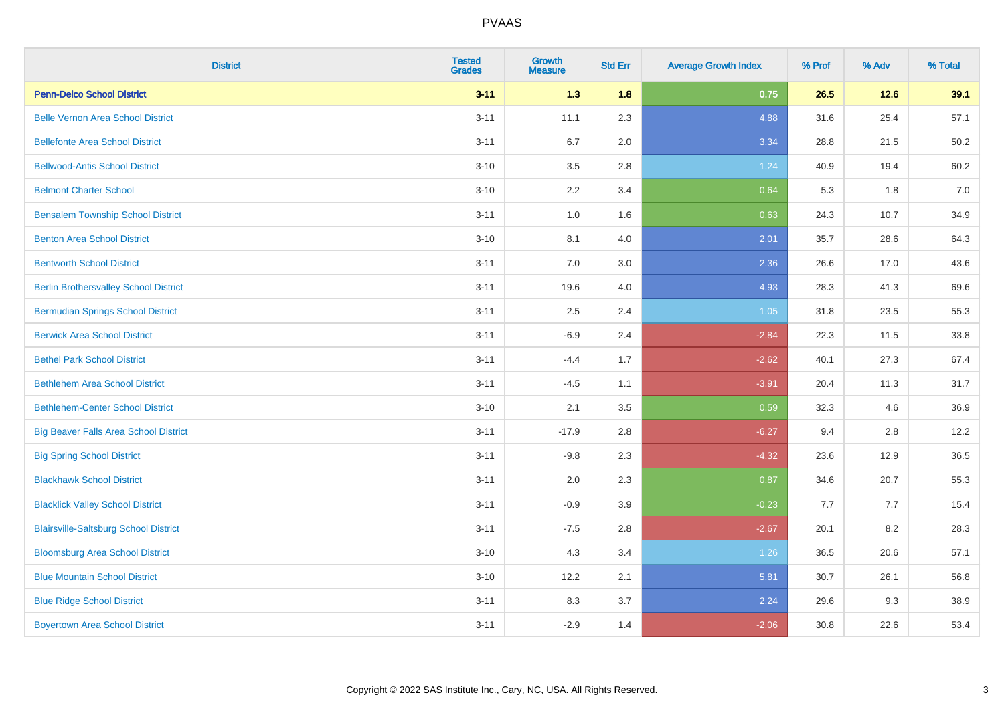| <b>District</b>                              | <b>Tested</b><br><b>Grades</b> | <b>Growth</b><br><b>Measure</b> | <b>Std Err</b> | <b>Average Growth Index</b> | % Prof | % Adv | % Total |
|----------------------------------------------|--------------------------------|---------------------------------|----------------|-----------------------------|--------|-------|---------|
| <b>Penn-Delco School District</b>            | $3 - 11$                       | 1.3                             | 1.8            | 0.75                        | 26.5   | 12.6  | 39.1    |
| <b>Belle Vernon Area School District</b>     | $3 - 11$                       | 11.1                            | 2.3            | 4.88                        | 31.6   | 25.4  | 57.1    |
| <b>Bellefonte Area School District</b>       | $3 - 11$                       | 6.7                             | 2.0            | 3.34                        | 28.8   | 21.5  | 50.2    |
| <b>Bellwood-Antis School District</b>        | $3 - 10$                       | $3.5\,$                         | 2.8            | 1.24                        | 40.9   | 19.4  | 60.2    |
| <b>Belmont Charter School</b>                | $3 - 10$                       | 2.2                             | 3.4            | 0.64                        | 5.3    | 1.8   | 7.0     |
| <b>Bensalem Township School District</b>     | $3 - 11$                       | 1.0                             | 1.6            | 0.63                        | 24.3   | 10.7  | 34.9    |
| <b>Benton Area School District</b>           | $3 - 10$                       | 8.1                             | 4.0            | 2.01                        | 35.7   | 28.6  | 64.3    |
| <b>Bentworth School District</b>             | $3 - 11$                       | 7.0                             | 3.0            | 2.36                        | 26.6   | 17.0  | 43.6    |
| <b>Berlin Brothersvalley School District</b> | $3 - 11$                       | 19.6                            | 4.0            | 4.93                        | 28.3   | 41.3  | 69.6    |
| <b>Bermudian Springs School District</b>     | $3 - 11$                       | $2.5\,$                         | 2.4            | 1.05                        | 31.8   | 23.5  | 55.3    |
| <b>Berwick Area School District</b>          | $3 - 11$                       | $-6.9$                          | 2.4            | $-2.84$                     | 22.3   | 11.5  | 33.8    |
| <b>Bethel Park School District</b>           | $3 - 11$                       | $-4.4$                          | 1.7            | $-2.62$                     | 40.1   | 27.3  | 67.4    |
| <b>Bethlehem Area School District</b>        | $3 - 11$                       | $-4.5$                          | 1.1            | $-3.91$                     | 20.4   | 11.3  | 31.7    |
| <b>Bethlehem-Center School District</b>      | $3 - 10$                       | 2.1                             | 3.5            | 0.59                        | 32.3   | 4.6   | 36.9    |
| <b>Big Beaver Falls Area School District</b> | $3 - 11$                       | $-17.9$                         | 2.8            | $-6.27$                     | 9.4    | 2.8   | 12.2    |
| <b>Big Spring School District</b>            | $3 - 11$                       | $-9.8$                          | 2.3            | $-4.32$                     | 23.6   | 12.9  | 36.5    |
| <b>Blackhawk School District</b>             | $3 - 11$                       | 2.0                             | 2.3            | 0.87                        | 34.6   | 20.7  | 55.3    |
| <b>Blacklick Valley School District</b>      | $3 - 11$                       | $-0.9$                          | 3.9            | $-0.23$                     | 7.7    | 7.7   | 15.4    |
| <b>Blairsville-Saltsburg School District</b> | $3 - 11$                       | $-7.5$                          | 2.8            | $-2.67$                     | 20.1   | 8.2   | 28.3    |
| <b>Bloomsburg Area School District</b>       | $3 - 10$                       | 4.3                             | 3.4            | 1.26                        | 36.5   | 20.6  | 57.1    |
| <b>Blue Mountain School District</b>         | $3 - 10$                       | 12.2                            | 2.1            | 5.81                        | 30.7   | 26.1  | 56.8    |
| <b>Blue Ridge School District</b>            | $3 - 11$                       | 8.3                             | 3.7            | 2.24                        | 29.6   | 9.3   | 38.9    |
| <b>Boyertown Area School District</b>        | $3 - 11$                       | $-2.9$                          | 1.4            | $-2.06$                     | 30.8   | 22.6  | 53.4    |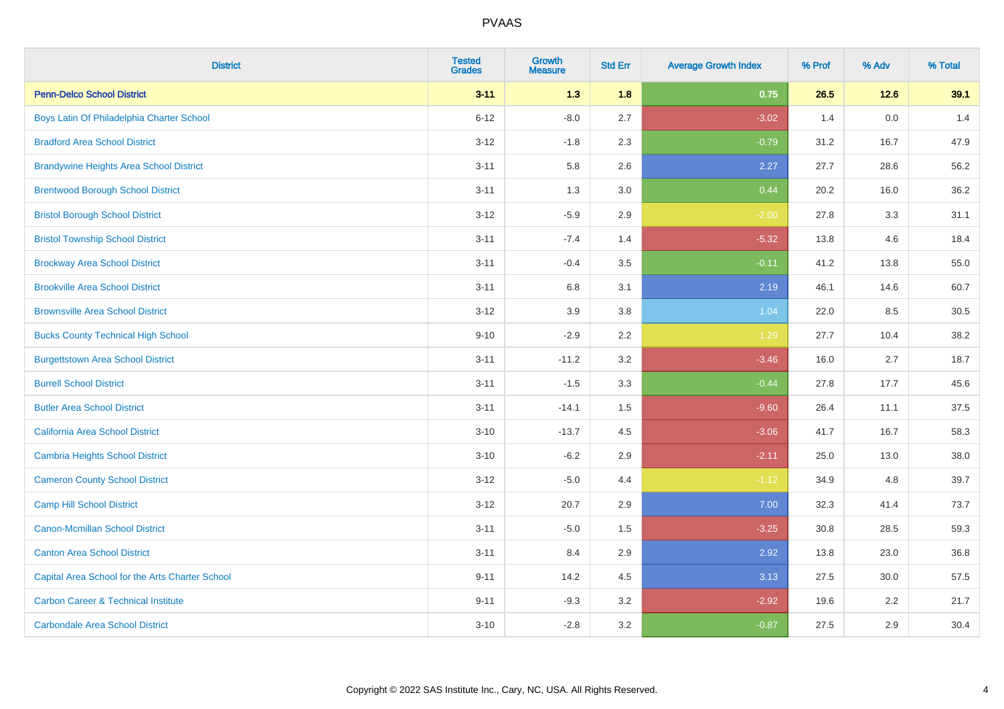| <b>District</b>                                 | <b>Tested</b><br><b>Grades</b> | <b>Growth</b><br><b>Measure</b> | <b>Std Err</b> | <b>Average Growth Index</b> | % Prof | % Adv | % Total |
|-------------------------------------------------|--------------------------------|---------------------------------|----------------|-----------------------------|--------|-------|---------|
| <b>Penn-Delco School District</b>               | $3 - 11$                       | 1.3                             | 1.8            | 0.75                        | 26.5   | 12.6  | 39.1    |
| Boys Latin Of Philadelphia Charter School       | $6 - 12$                       | $-8.0$                          | 2.7            | $-3.02$                     | 1.4    | 0.0   | 1.4     |
| <b>Bradford Area School District</b>            | $3 - 12$                       | $-1.8$                          | 2.3            | $-0.79$                     | 31.2   | 16.7  | 47.9    |
| <b>Brandywine Heights Area School District</b>  | $3 - 11$                       | 5.8                             | 2.6            | 2.27                        | 27.7   | 28.6  | 56.2    |
| <b>Brentwood Borough School District</b>        | $3 - 11$                       | 1.3                             | 3.0            | 0.44                        | 20.2   | 16.0  | 36.2    |
| <b>Bristol Borough School District</b>          | $3 - 12$                       | $-5.9$                          | 2.9            | $-2.00$                     | 27.8   | 3.3   | 31.1    |
| <b>Bristol Township School District</b>         | $3 - 11$                       | $-7.4$                          | 1.4            | $-5.32$                     | 13.8   | 4.6   | 18.4    |
| <b>Brockway Area School District</b>            | $3 - 11$                       | $-0.4$                          | 3.5            | $-0.11$                     | 41.2   | 13.8  | 55.0    |
| <b>Brookville Area School District</b>          | $3 - 11$                       | 6.8                             | 3.1            | 2.19                        | 46.1   | 14.6  | 60.7    |
| <b>Brownsville Area School District</b>         | $3 - 12$                       | 3.9                             | 3.8            | 1.04                        | 22.0   | 8.5   | 30.5    |
| <b>Bucks County Technical High School</b>       | $9 - 10$                       | $-2.9$                          | 2.2            | $-1.29$                     | 27.7   | 10.4  | 38.2    |
| <b>Burgettstown Area School District</b>        | $3 - 11$                       | $-11.2$                         | 3.2            | $-3.46$                     | 16.0   | 2.7   | 18.7    |
| <b>Burrell School District</b>                  | $3 - 11$                       | $-1.5$                          | 3.3            | $-0.44$                     | 27.8   | 17.7  | 45.6    |
| <b>Butler Area School District</b>              | $3 - 11$                       | $-14.1$                         | 1.5            | $-9.60$                     | 26.4   | 11.1  | 37.5    |
| California Area School District                 | $3 - 10$                       | $-13.7$                         | 4.5            | $-3.06$                     | 41.7   | 16.7  | 58.3    |
| Cambria Heights School District                 | $3 - 10$                       | $-6.2$                          | 2.9            | $-2.11$                     | 25.0   | 13.0  | 38.0    |
| <b>Cameron County School District</b>           | $3 - 12$                       | $-5.0$                          | 4.4            | $-1.12$                     | 34.9   | 4.8   | 39.7    |
| <b>Camp Hill School District</b>                | $3 - 12$                       | 20.7                            | 2.9            | 7.00                        | 32.3   | 41.4  | 73.7    |
| <b>Canon-Mcmillan School District</b>           | $3 - 11$                       | $-5.0$                          | 1.5            | $-3.25$                     | 30.8   | 28.5  | 59.3    |
| <b>Canton Area School District</b>              | $3 - 11$                       | 8.4                             | 2.9            | 2.92                        | 13.8   | 23.0  | 36.8    |
| Capital Area School for the Arts Charter School | $9 - 11$                       | 14.2                            | 4.5            | 3.13                        | 27.5   | 30.0  | 57.5    |
| <b>Carbon Career &amp; Technical Institute</b>  | $9 - 11$                       | $-9.3$                          | 3.2            | $-2.92$                     | 19.6   | 2.2   | 21.7    |
| <b>Carbondale Area School District</b>          | $3 - 10$                       | $-2.8$                          | 3.2            | $-0.87$                     | 27.5   | 2.9   | 30.4    |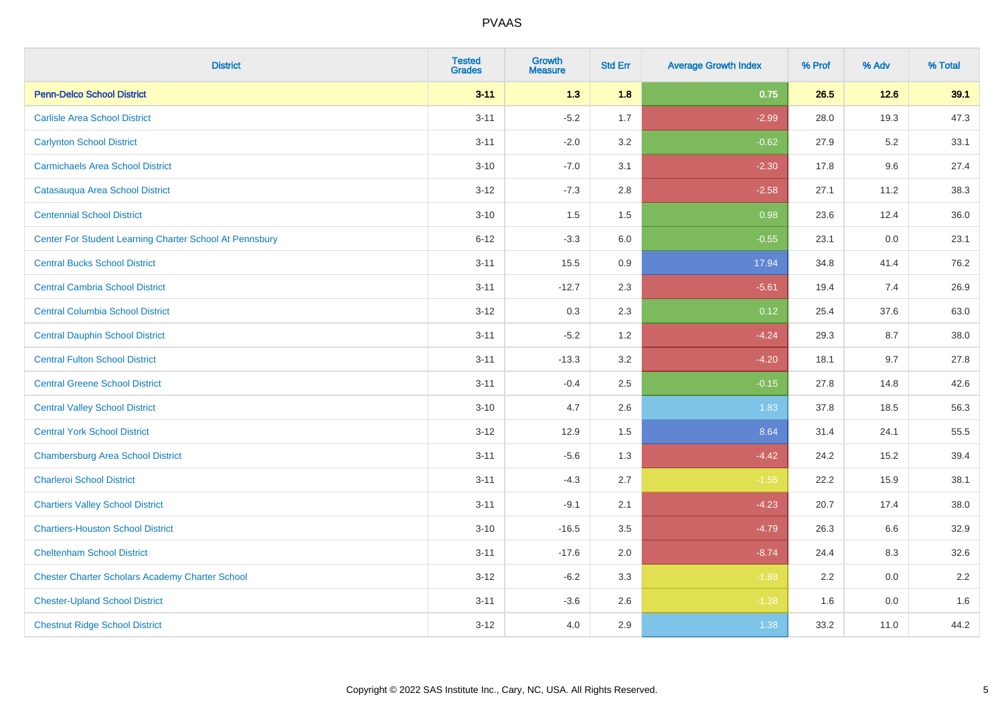| <b>District</b>                                         | <b>Tested</b><br><b>Grades</b> | <b>Growth</b><br><b>Measure</b> | <b>Std Err</b> | <b>Average Growth Index</b> | % Prof | % Adv   | % Total |
|---------------------------------------------------------|--------------------------------|---------------------------------|----------------|-----------------------------|--------|---------|---------|
| <b>Penn-Delco School District</b>                       | $3 - 11$                       | $1.3$                           | 1.8            | 0.75                        | 26.5   | $12.6$  | 39.1    |
| <b>Carlisle Area School District</b>                    | $3 - 11$                       | $-5.2$                          | 1.7            | $-2.99$                     | 28.0   | 19.3    | 47.3    |
| <b>Carlynton School District</b>                        | $3 - 11$                       | $-2.0$                          | 3.2            | $-0.62$                     | 27.9   | $5.2\,$ | 33.1    |
| <b>Carmichaels Area School District</b>                 | $3 - 10$                       | $-7.0$                          | 3.1            | $-2.30$                     | 17.8   | 9.6     | 27.4    |
| Catasauqua Area School District                         | $3-12$                         | $-7.3$                          | 2.8            | $-2.58$                     | 27.1   | 11.2    | 38.3    |
| <b>Centennial School District</b>                       | $3 - 10$                       | 1.5                             | 1.5            | 0.98                        | 23.6   | 12.4    | 36.0    |
| Center For Student Learning Charter School At Pennsbury | $6 - 12$                       | $-3.3$                          | 6.0            | $-0.55$                     | 23.1   | 0.0     | 23.1    |
| <b>Central Bucks School District</b>                    | $3 - 11$                       | 15.5                            | 0.9            | 17.94                       | 34.8   | 41.4    | 76.2    |
| <b>Central Cambria School District</b>                  | $3 - 11$                       | $-12.7$                         | 2.3            | $-5.61$                     | 19.4   | 7.4     | 26.9    |
| <b>Central Columbia School District</b>                 | $3 - 12$                       | 0.3                             | 2.3            | 0.12                        | 25.4   | 37.6    | 63.0    |
| <b>Central Dauphin School District</b>                  | $3 - 11$                       | $-5.2$                          | 1.2            | $-4.24$                     | 29.3   | 8.7     | 38.0    |
| <b>Central Fulton School District</b>                   | $3 - 11$                       | $-13.3$                         | 3.2            | $-4.20$                     | 18.1   | 9.7     | 27.8    |
| <b>Central Greene School District</b>                   | $3 - 11$                       | $-0.4$                          | 2.5            | $-0.15$                     | 27.8   | 14.8    | 42.6    |
| <b>Central Valley School District</b>                   | $3 - 10$                       | 4.7                             | 2.6            | 1.83                        | 37.8   | 18.5    | 56.3    |
| <b>Central York School District</b>                     | $3 - 12$                       | 12.9                            | 1.5            | 8.64                        | 31.4   | 24.1    | 55.5    |
| <b>Chambersburg Area School District</b>                | $3 - 11$                       | $-5.6$                          | 1.3            | $-4.42$                     | 24.2   | 15.2    | 39.4    |
| <b>Charleroi School District</b>                        | $3 - 11$                       | $-4.3$                          | 2.7            | $-1.55$                     | 22.2   | 15.9    | 38.1    |
| <b>Chartiers Valley School District</b>                 | $3 - 11$                       | $-9.1$                          | 2.1            | $-4.23$                     | 20.7   | 17.4    | 38.0    |
| <b>Chartiers-Houston School District</b>                | $3 - 10$                       | $-16.5$                         | 3.5            | $-4.79$                     | 26.3   | 6.6     | 32.9    |
| <b>Cheltenham School District</b>                       | $3 - 11$                       | $-17.6$                         | 2.0            | $-8.74$                     | 24.4   | 8.3     | 32.6    |
| <b>Chester Charter Scholars Academy Charter School</b>  | $3 - 12$                       | $-6.2$                          | 3.3            | $-1.88$                     | 2.2    | 0.0     | 2.2     |
| <b>Chester-Upland School District</b>                   | $3 - 11$                       | $-3.6$                          | 2.6            | $-1.38$                     | 1.6    | 0.0     | 1.6     |
| <b>Chestnut Ridge School District</b>                   | $3 - 12$                       | 4.0                             | 2.9            | 1.38                        | 33.2   | 11.0    | 44.2    |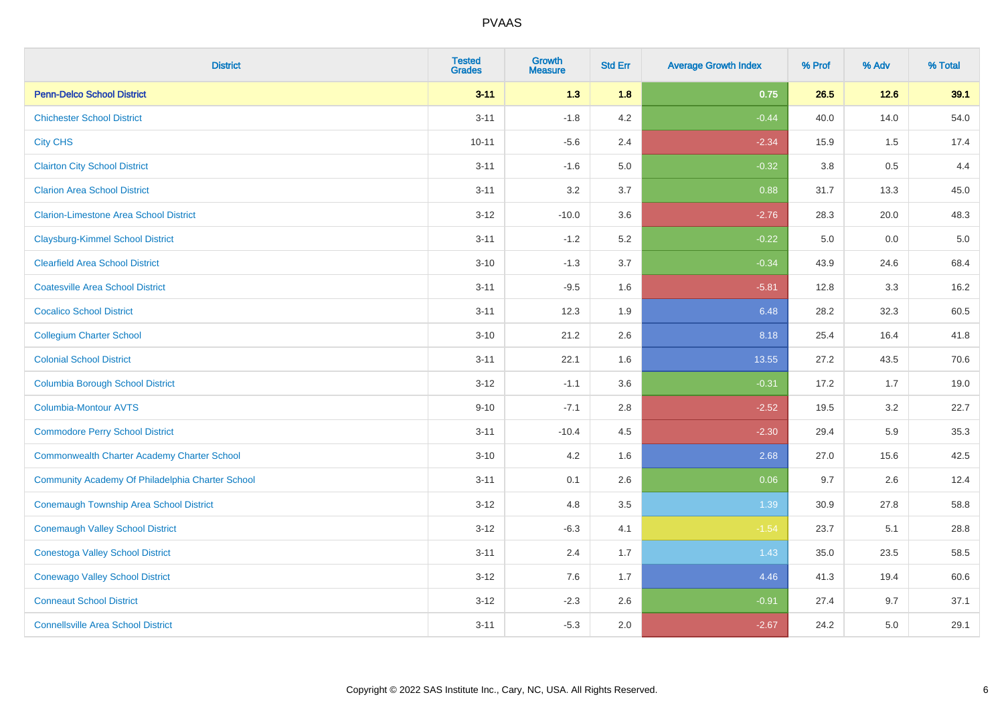| <b>District</b>                                    | <b>Tested</b><br><b>Grades</b> | Growth<br><b>Measure</b> | <b>Std Err</b> | <b>Average Growth Index</b> | % Prof | % Adv   | % Total |
|----------------------------------------------------|--------------------------------|--------------------------|----------------|-----------------------------|--------|---------|---------|
| <b>Penn-Delco School District</b>                  | $3 - 11$                       | 1.3                      | 1.8            | 0.75                        | 26.5   | $12.6$  | 39.1    |
| <b>Chichester School District</b>                  | $3 - 11$                       | $-1.8$                   | 4.2            | $-0.44$                     | 40.0   | 14.0    | 54.0    |
| <b>City CHS</b>                                    | $10 - 11$                      | $-5.6$                   | 2.4            | $-2.34$                     | 15.9   | 1.5     | 17.4    |
| <b>Clairton City School District</b>               | $3 - 11$                       | $-1.6$                   | 5.0            | $-0.32$                     | 3.8    | $0.5\,$ | 4.4     |
| <b>Clarion Area School District</b>                | $3 - 11$                       | 3.2                      | 3.7            | 0.88                        | 31.7   | 13.3    | 45.0    |
| <b>Clarion-Limestone Area School District</b>      | $3 - 12$                       | $-10.0$                  | 3.6            | $-2.76$                     | 28.3   | 20.0    | 48.3    |
| <b>Claysburg-Kimmel School District</b>            | $3 - 11$                       | $-1.2$                   | 5.2            | $-0.22$                     | 5.0    | 0.0     | $5.0$   |
| <b>Clearfield Area School District</b>             | $3 - 10$                       | $-1.3$                   | 3.7            | $-0.34$                     | 43.9   | 24.6    | 68.4    |
| <b>Coatesville Area School District</b>            | $3 - 11$                       | $-9.5$                   | 1.6            | $-5.81$                     | 12.8   | 3.3     | 16.2    |
| <b>Cocalico School District</b>                    | $3 - 11$                       | 12.3                     | 1.9            | 6.48                        | 28.2   | 32.3    | 60.5    |
| <b>Collegium Charter School</b>                    | $3 - 10$                       | 21.2                     | 2.6            | 8.18                        | 25.4   | 16.4    | 41.8    |
| <b>Colonial School District</b>                    | $3 - 11$                       | 22.1                     | 1.6            | 13.55                       | 27.2   | 43.5    | 70.6    |
| <b>Columbia Borough School District</b>            | $3 - 12$                       | $-1.1$                   | 3.6            | $-0.31$                     | 17.2   | 1.7     | 19.0    |
| Columbia-Montour AVTS                              | $9 - 10$                       | $-7.1$                   | 2.8            | $-2.52$                     | 19.5   | 3.2     | 22.7    |
| <b>Commodore Perry School District</b>             | $3 - 11$                       | $-10.4$                  | 4.5            | $-2.30$                     | 29.4   | 5.9     | 35.3    |
| <b>Commonwealth Charter Academy Charter School</b> | $3 - 10$                       | 4.2                      | 1.6            | 2.68                        | 27.0   | 15.6    | 42.5    |
| Community Academy Of Philadelphia Charter School   | $3 - 11$                       | 0.1                      | 2.6            | 0.06                        | 9.7    | 2.6     | 12.4    |
| <b>Conemaugh Township Area School District</b>     | $3 - 12$                       | 4.8                      | 3.5            | 1.39                        | 30.9   | 27.8    | 58.8    |
| <b>Conemaugh Valley School District</b>            | $3 - 12$                       | $-6.3$                   | 4.1            | $-1.54$                     | 23.7   | 5.1     | 28.8    |
| <b>Conestoga Valley School District</b>            | $3 - 11$                       | 2.4                      | 1.7            | 1.43                        | 35.0   | 23.5    | 58.5    |
| <b>Conewago Valley School District</b>             | $3 - 12$                       | 7.6                      | 1.7            | 4.46                        | 41.3   | 19.4    | 60.6    |
| <b>Conneaut School District</b>                    | $3 - 12$                       | $-2.3$                   | 2.6            | $-0.91$                     | 27.4   | 9.7     | 37.1    |
| <b>Connellsville Area School District</b>          | $3 - 11$                       | $-5.3$                   | 2.0            | $-2.67$                     | 24.2   | 5.0     | 29.1    |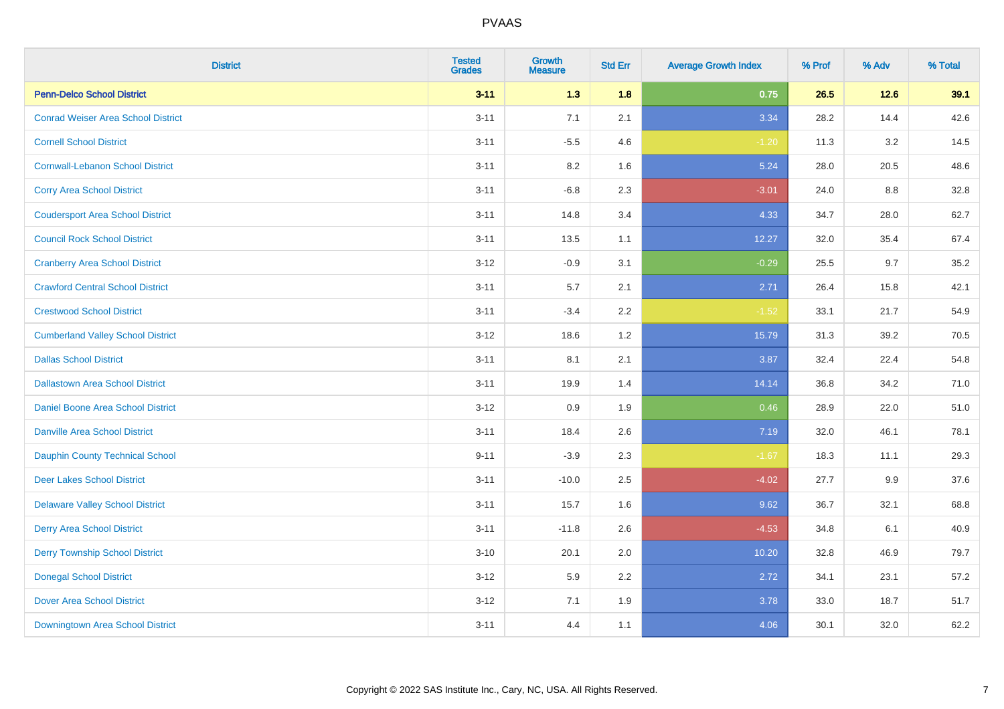| <b>District</b>                           | <b>Tested</b><br><b>Grades</b> | Growth<br><b>Measure</b> | <b>Std Err</b> | <b>Average Growth Index</b> | % Prof | % Adv  | % Total |
|-------------------------------------------|--------------------------------|--------------------------|----------------|-----------------------------|--------|--------|---------|
| <b>Penn-Delco School District</b>         | $3 - 11$                       | 1.3                      | 1.8            | 0.75                        | 26.5   | $12.6$ | 39.1    |
| <b>Conrad Weiser Area School District</b> | $3 - 11$                       | 7.1                      | 2.1            | 3.34                        | 28.2   | 14.4   | 42.6    |
| <b>Cornell School District</b>            | $3 - 11$                       | $-5.5$                   | 4.6            | $-1.20$                     | 11.3   | 3.2    | 14.5    |
| <b>Cornwall-Lebanon School District</b>   | $3 - 11$                       | $8.2\,$                  | 1.6            | 5.24                        | 28.0   | 20.5   | 48.6    |
| <b>Corry Area School District</b>         | $3 - 11$                       | $-6.8$                   | 2.3            | $-3.01$                     | 24.0   | 8.8    | 32.8    |
| <b>Coudersport Area School District</b>   | $3 - 11$                       | 14.8                     | 3.4            | 4.33                        | 34.7   | 28.0   | 62.7    |
| <b>Council Rock School District</b>       | $3 - 11$                       | 13.5                     | 1.1            | 12.27                       | 32.0   | 35.4   | 67.4    |
| <b>Cranberry Area School District</b>     | $3 - 12$                       | $-0.9$                   | 3.1            | $-0.29$                     | 25.5   | 9.7    | 35.2    |
| <b>Crawford Central School District</b>   | $3 - 11$                       | 5.7                      | 2.1            | 2.71                        | 26.4   | 15.8   | 42.1    |
| <b>Crestwood School District</b>          | $3 - 11$                       | $-3.4$                   | $2.2\,$        | $-1.52$                     | 33.1   | 21.7   | 54.9    |
| <b>Cumberland Valley School District</b>  | $3 - 12$                       | 18.6                     | 1.2            | 15.79                       | 31.3   | 39.2   | 70.5    |
| <b>Dallas School District</b>             | $3 - 11$                       | 8.1                      | 2.1            | 3.87                        | 32.4   | 22.4   | 54.8    |
| <b>Dallastown Area School District</b>    | $3 - 11$                       | 19.9                     | 1.4            | 14.14                       | 36.8   | 34.2   | 71.0    |
| Daniel Boone Area School District         | $3 - 12$                       | 0.9                      | 1.9            | 0.46                        | 28.9   | 22.0   | 51.0    |
| <b>Danville Area School District</b>      | $3 - 11$                       | 18.4                     | 2.6            | 7.19                        | 32.0   | 46.1   | 78.1    |
| <b>Dauphin County Technical School</b>    | $9 - 11$                       | $-3.9$                   | 2.3            | $-1.67$                     | 18.3   | 11.1   | 29.3    |
| <b>Deer Lakes School District</b>         | $3 - 11$                       | $-10.0$                  | 2.5            | $-4.02$                     | 27.7   | 9.9    | 37.6    |
| <b>Delaware Valley School District</b>    | $3 - 11$                       | 15.7                     | 1.6            | 9.62                        | 36.7   | 32.1   | 68.8    |
| <b>Derry Area School District</b>         | $3 - 11$                       | $-11.8$                  | 2.6            | $-4.53$                     | 34.8   | 6.1    | 40.9    |
| <b>Derry Township School District</b>     | $3 - 10$                       | 20.1                     | 2.0            | 10.20                       | 32.8   | 46.9   | 79.7    |
| <b>Donegal School District</b>            | $3 - 12$                       | 5.9                      | 2.2            | 2.72                        | 34.1   | 23.1   | 57.2    |
| <b>Dover Area School District</b>         | $3 - 12$                       | 7.1                      | 1.9            | 3.78                        | 33.0   | 18.7   | 51.7    |
| Downingtown Area School District          | $3 - 11$                       | 4.4                      | 1.1            | 4.06                        | 30.1   | 32.0   | 62.2    |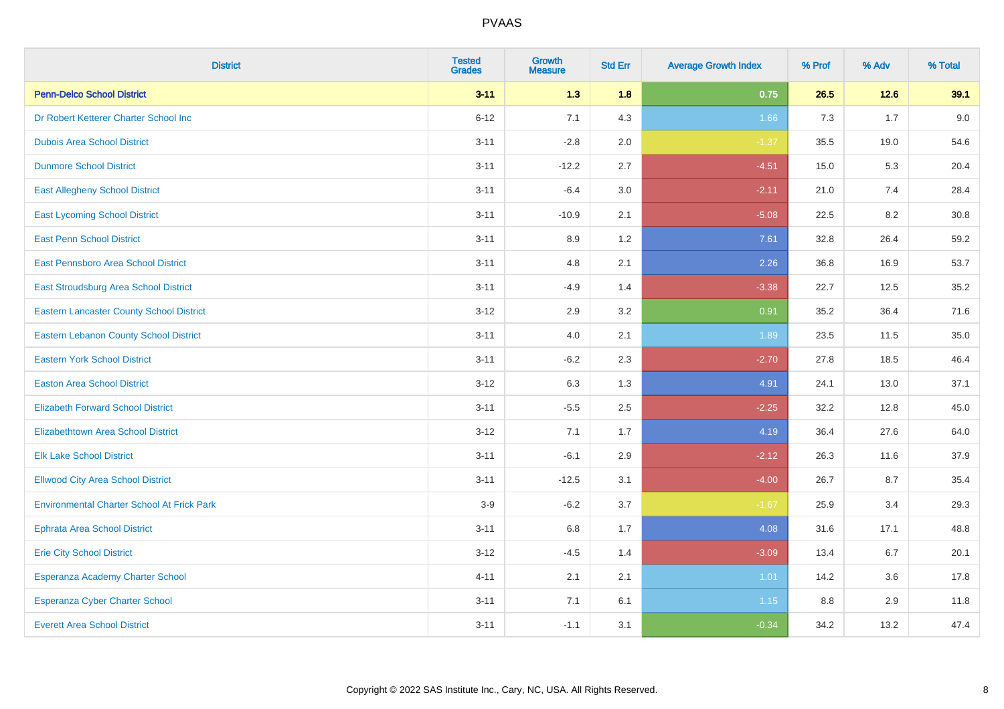| <b>District</b>                                   | <b>Tested</b><br><b>Grades</b> | <b>Growth</b><br><b>Measure</b> | <b>Std Err</b> | <b>Average Growth Index</b> | % Prof | % Adv | % Total |
|---------------------------------------------------|--------------------------------|---------------------------------|----------------|-----------------------------|--------|-------|---------|
| <b>Penn-Delco School District</b>                 | $3 - 11$                       | 1.3                             | 1.8            | 0.75                        | 26.5   | 12.6  | 39.1    |
| Dr Robert Ketterer Charter School Inc             | $6 - 12$                       | 7.1                             | 4.3            | 1.66                        | 7.3    | 1.7   | 9.0     |
| <b>Dubois Area School District</b>                | $3 - 11$                       | $-2.8$                          | 2.0            | $-1.37$                     | 35.5   | 19.0  | 54.6    |
| <b>Dunmore School District</b>                    | $3 - 11$                       | $-12.2$                         | 2.7            | $-4.51$                     | 15.0   | 5.3   | 20.4    |
| <b>East Allegheny School District</b>             | $3 - 11$                       | $-6.4$                          | 3.0            | $-2.11$                     | 21.0   | 7.4   | 28.4    |
| <b>East Lycoming School District</b>              | $3 - 11$                       | $-10.9$                         | 2.1            | $-5.08$                     | 22.5   | 8.2   | 30.8    |
| <b>East Penn School District</b>                  | $3 - 11$                       | 8.9                             | 1.2            | 7.61                        | 32.8   | 26.4  | 59.2    |
| East Pennsboro Area School District               | $3 - 11$                       | 4.8                             | 2.1            | 2.26                        | 36.8   | 16.9  | 53.7    |
| East Stroudsburg Area School District             | $3 - 11$                       | $-4.9$                          | 1.4            | $-3.38$                     | 22.7   | 12.5  | 35.2    |
| <b>Eastern Lancaster County School District</b>   | $3 - 12$                       | 2.9                             | 3.2            | 0.91                        | 35.2   | 36.4  | 71.6    |
| Eastern Lebanon County School District            | $3 - 11$                       | 4.0                             | 2.1            | 1.89                        | 23.5   | 11.5  | 35.0    |
| <b>Eastern York School District</b>               | $3 - 11$                       | $-6.2$                          | 2.3            | $-2.70$                     | 27.8   | 18.5  | 46.4    |
| <b>Easton Area School District</b>                | $3 - 12$                       | 6.3                             | 1.3            | 4.91                        | 24.1   | 13.0  | 37.1    |
| <b>Elizabeth Forward School District</b>          | $3 - 11$                       | $-5.5$                          | 2.5            | $-2.25$                     | 32.2   | 12.8  | 45.0    |
| <b>Elizabethtown Area School District</b>         | $3 - 12$                       | 7.1                             | 1.7            | 4.19                        | 36.4   | 27.6  | 64.0    |
| <b>Elk Lake School District</b>                   | $3 - 11$                       | $-6.1$                          | 2.9            | $-2.12$                     | 26.3   | 11.6  | 37.9    |
| <b>Ellwood City Area School District</b>          | $3 - 11$                       | $-12.5$                         | 3.1            | $-4.00$                     | 26.7   | 8.7   | 35.4    |
| <b>Environmental Charter School At Frick Park</b> | $3-9$                          | $-6.2$                          | 3.7            | $-1.67$                     | 25.9   | 3.4   | 29.3    |
| <b>Ephrata Area School District</b>               | $3 - 11$                       | $6.8\,$                         | 1.7            | 4.08                        | 31.6   | 17.1  | 48.8    |
| <b>Erie City School District</b>                  | $3 - 12$                       | $-4.5$                          | 1.4            | $-3.09$                     | 13.4   | 6.7   | 20.1    |
| Esperanza Academy Charter School                  | $4 - 11$                       | 2.1                             | 2.1            | 1.01                        | 14.2   | 3.6   | 17.8    |
| <b>Esperanza Cyber Charter School</b>             | $3 - 11$                       | 7.1                             | 6.1            | $1.15$                      | 8.8    | 2.9   | 11.8    |
| <b>Everett Area School District</b>               | $3 - 11$                       | $-1.1$                          | 3.1            | $-0.34$                     | 34.2   | 13.2  | 47.4    |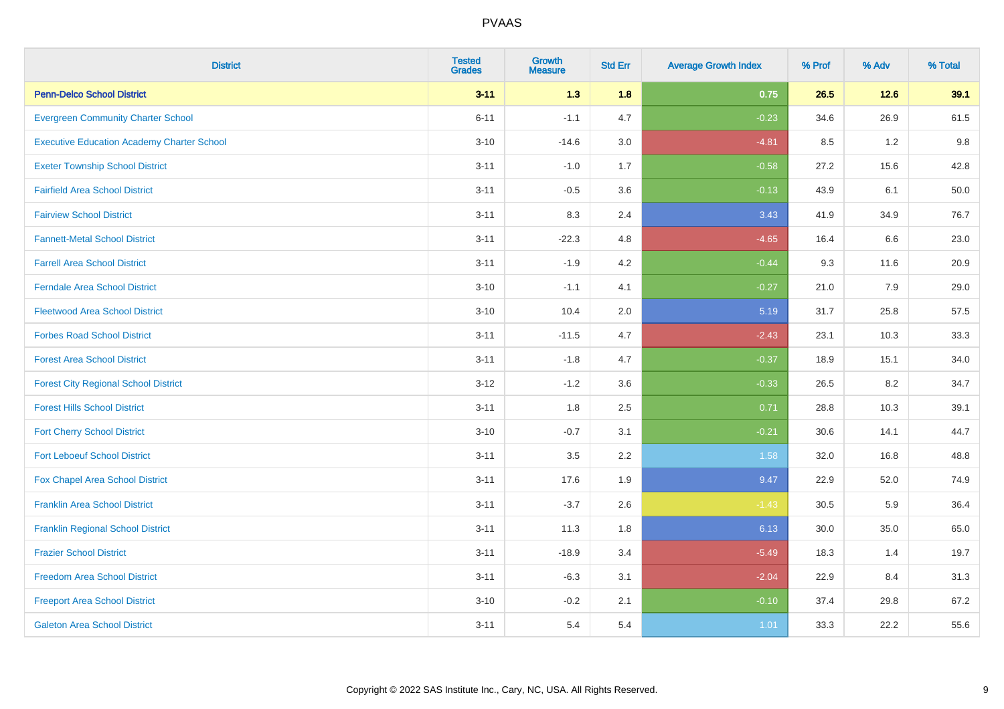| <b>District</b>                                   | <b>Tested</b><br><b>Grades</b> | <b>Growth</b><br><b>Measure</b> | <b>Std Err</b> | <b>Average Growth Index</b> | % Prof | % Adv | % Total |
|---------------------------------------------------|--------------------------------|---------------------------------|----------------|-----------------------------|--------|-------|---------|
| <b>Penn-Delco School District</b>                 | $3 - 11$                       | 1.3                             | 1.8            | 0.75                        | 26.5   | 12.6  | 39.1    |
| <b>Evergreen Community Charter School</b>         | $6 - 11$                       | $-1.1$                          | 4.7            | $-0.23$                     | 34.6   | 26.9  | 61.5    |
| <b>Executive Education Academy Charter School</b> | $3 - 10$                       | $-14.6$                         | 3.0            | $-4.81$                     | 8.5    | 1.2   | 9.8     |
| <b>Exeter Township School District</b>            | $3 - 11$                       | $-1.0$                          | 1.7            | $-0.58$                     | 27.2   | 15.6  | 42.8    |
| <b>Fairfield Area School District</b>             | $3 - 11$                       | $-0.5$                          | 3.6            | $-0.13$                     | 43.9   | 6.1   | 50.0    |
| <b>Fairview School District</b>                   | $3 - 11$                       | 8.3                             | 2.4            | 3.43                        | 41.9   | 34.9  | 76.7    |
| <b>Fannett-Metal School District</b>              | $3 - 11$                       | $-22.3$                         | 4.8            | $-4.65$                     | 16.4   | 6.6   | 23.0    |
| <b>Farrell Area School District</b>               | $3 - 11$                       | $-1.9$                          | 4.2            | $-0.44$                     | 9.3    | 11.6  | 20.9    |
| <b>Ferndale Area School District</b>              | $3 - 10$                       | $-1.1$                          | 4.1            | $-0.27$                     | 21.0   | 7.9   | 29.0    |
| <b>Fleetwood Area School District</b>             | $3 - 10$                       | 10.4                            | 2.0            | 5.19                        | 31.7   | 25.8  | 57.5    |
| <b>Forbes Road School District</b>                | $3 - 11$                       | $-11.5$                         | 4.7            | $-2.43$                     | 23.1   | 10.3  | 33.3    |
| <b>Forest Area School District</b>                | $3 - 11$                       | $-1.8$                          | 4.7            | $-0.37$                     | 18.9   | 15.1  | 34.0    |
| <b>Forest City Regional School District</b>       | $3 - 12$                       | $-1.2$                          | 3.6            | $-0.33$                     | 26.5   | 8.2   | 34.7    |
| <b>Forest Hills School District</b>               | $3 - 11$                       | 1.8                             | 2.5            | 0.71                        | 28.8   | 10.3  | 39.1    |
| <b>Fort Cherry School District</b>                | $3 - 10$                       | $-0.7$                          | 3.1            | $-0.21$                     | 30.6   | 14.1  | 44.7    |
| <b>Fort Leboeuf School District</b>               | $3 - 11$                       | $3.5\,$                         | 2.2            | 1.58                        | 32.0   | 16.8  | 48.8    |
| Fox Chapel Area School District                   | $3 - 11$                       | 17.6                            | 1.9            | 9.47                        | 22.9   | 52.0  | 74.9    |
| <b>Franklin Area School District</b>              | $3 - 11$                       | $-3.7$                          | 2.6            | $-1.43$                     | 30.5   | 5.9   | 36.4    |
| <b>Franklin Regional School District</b>          | $3 - 11$                       | 11.3                            | 1.8            | 6.13                        | 30.0   | 35.0  | 65.0    |
| <b>Frazier School District</b>                    | $3 - 11$                       | $-18.9$                         | 3.4            | $-5.49$                     | 18.3   | 1.4   | 19.7    |
| <b>Freedom Area School District</b>               | $3 - 11$                       | $-6.3$                          | 3.1            | $-2.04$                     | 22.9   | 8.4   | 31.3    |
| <b>Freeport Area School District</b>              | $3 - 10$                       | $-0.2$                          | 2.1            | $-0.10$                     | 37.4   | 29.8  | 67.2    |
| <b>Galeton Area School District</b>               | $3 - 11$                       | 5.4                             | 5.4            | 1.01                        | 33.3   | 22.2  | 55.6    |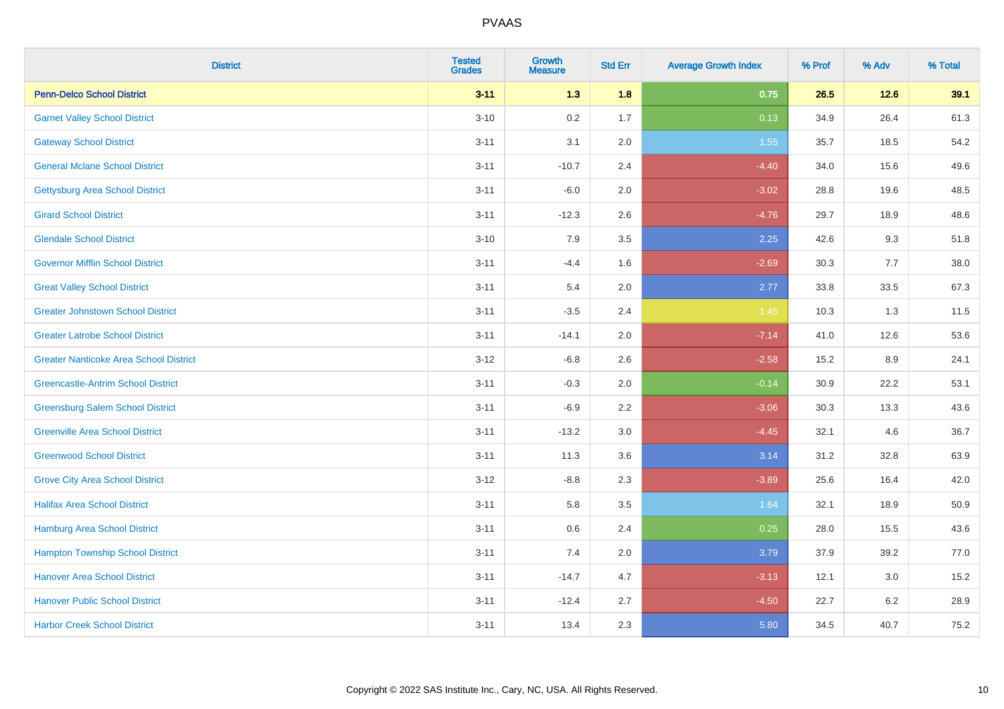| <b>District</b>                               | <b>Tested</b><br><b>Grades</b> | <b>Growth</b><br><b>Measure</b> | <b>Std Err</b> | <b>Average Growth Index</b> | % Prof | % Adv  | % Total |
|-----------------------------------------------|--------------------------------|---------------------------------|----------------|-----------------------------|--------|--------|---------|
| <b>Penn-Delco School District</b>             | $3 - 11$                       | 1.3                             | 1.8            | 0.75                        | 26.5   | $12.6$ | 39.1    |
| <b>Garnet Valley School District</b>          | $3 - 10$                       | 0.2                             | 1.7            | 0.13                        | 34.9   | 26.4   | 61.3    |
| <b>Gateway School District</b>                | $3 - 11$                       | 3.1                             | 2.0            | 1.55                        | 35.7   | 18.5   | 54.2    |
| <b>General Mclane School District</b>         | $3 - 11$                       | $-10.7$                         | 2.4            | $-4.40$                     | 34.0   | 15.6   | 49.6    |
| <b>Gettysburg Area School District</b>        | $3 - 11$                       | $-6.0$                          | 2.0            | $-3.02$                     | 28.8   | 19.6   | 48.5    |
| <b>Girard School District</b>                 | $3 - 11$                       | $-12.3$                         | 2.6            | $-4.76$                     | 29.7   | 18.9   | 48.6    |
| <b>Glendale School District</b>               | $3 - 10$                       | 7.9                             | 3.5            | 2.25                        | 42.6   | 9.3    | 51.8    |
| <b>Governor Mifflin School District</b>       | $3 - 11$                       | $-4.4$                          | 1.6            | $-2.69$                     | 30.3   | 7.7    | 38.0    |
| <b>Great Valley School District</b>           | $3 - 11$                       | 5.4                             | 2.0            | 2.77                        | 33.8   | 33.5   | 67.3    |
| <b>Greater Johnstown School District</b>      | $3 - 11$                       | $-3.5$                          | 2.4            | $-1.45$                     | 10.3   | 1.3    | 11.5    |
| <b>Greater Latrobe School District</b>        | $3 - 11$                       | $-14.1$                         | 2.0            | $-7.14$                     | 41.0   | 12.6   | 53.6    |
| <b>Greater Nanticoke Area School District</b> | $3 - 12$                       | $-6.8$                          | 2.6            | $-2.58$                     | 15.2   | 8.9    | 24.1    |
| <b>Greencastle-Antrim School District</b>     | $3 - 11$                       | $-0.3$                          | 2.0            | $-0.14$                     | 30.9   | 22.2   | 53.1    |
| <b>Greensburg Salem School District</b>       | $3 - 11$                       | $-6.9$                          | 2.2            | $-3.06$                     | 30.3   | 13.3   | 43.6    |
| <b>Greenville Area School District</b>        | $3 - 11$                       | $-13.2$                         | 3.0            | $-4.45$                     | 32.1   | 4.6    | 36.7    |
| <b>Greenwood School District</b>              | $3 - 11$                       | 11.3                            | 3.6            | 3.14                        | 31.2   | 32.8   | 63.9    |
| <b>Grove City Area School District</b>        | $3 - 12$                       | $-8.8$                          | 2.3            | $-3.89$                     | 25.6   | 16.4   | 42.0    |
| <b>Halifax Area School District</b>           | $3 - 11$                       | 5.8                             | 3.5            | 1.64                        | 32.1   | 18.9   | 50.9    |
| <b>Hamburg Area School District</b>           | $3 - 11$                       | $0.6\,$                         | 2.4            | 0.25                        | 28.0   | 15.5   | 43.6    |
| <b>Hampton Township School District</b>       | $3 - 11$                       | 7.4                             | 2.0            | 3.79                        | 37.9   | 39.2   | 77.0    |
| <b>Hanover Area School District</b>           | $3 - 11$                       | $-14.7$                         | 4.7            | $-3.13$                     | 12.1   | 3.0    | 15.2    |
| <b>Hanover Public School District</b>         | $3 - 11$                       | $-12.4$                         | 2.7            | $-4.50$                     | 22.7   | 6.2    | 28.9    |
| <b>Harbor Creek School District</b>           | $3 - 11$                       | 13.4                            | 2.3            | 5.80                        | 34.5   | 40.7   | 75.2    |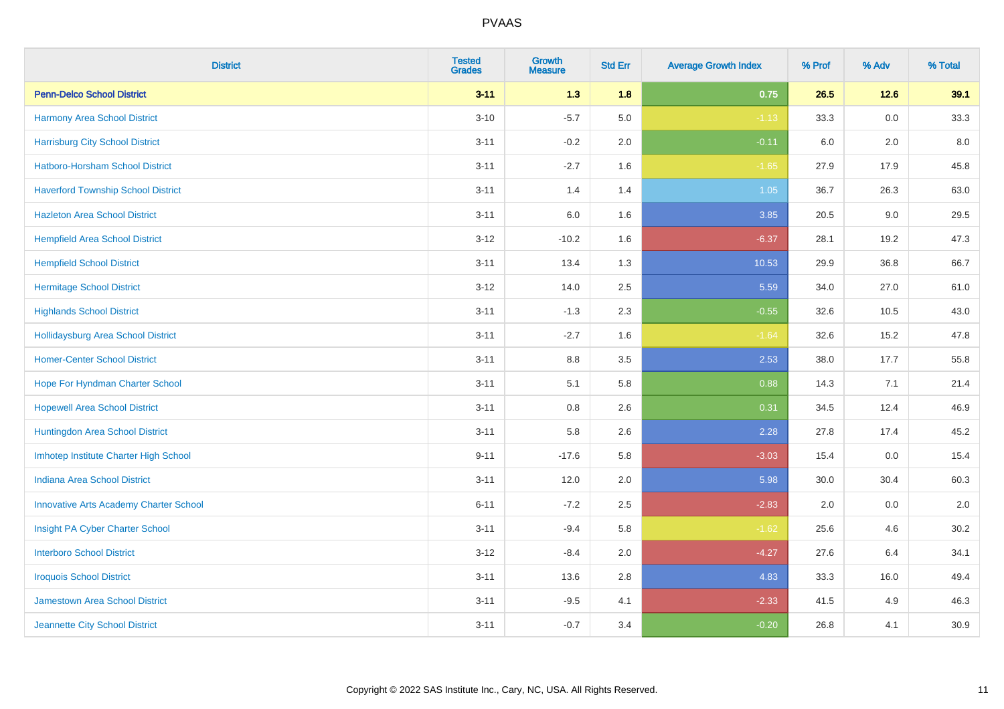| <b>District</b>                               | <b>Tested</b><br><b>Grades</b> | <b>Growth</b><br><b>Measure</b> | <b>Std Err</b> | <b>Average Growth Index</b> | % Prof | % Adv   | % Total |
|-----------------------------------------------|--------------------------------|---------------------------------|----------------|-----------------------------|--------|---------|---------|
| <b>Penn-Delco School District</b>             | $3 - 11$                       | 1.3                             | 1.8            | 0.75                        | 26.5   | $12.6$  | 39.1    |
| Harmony Area School District                  | $3 - 10$                       | $-5.7$                          | 5.0            | $-1.13$                     | 33.3   | 0.0     | 33.3    |
| <b>Harrisburg City School District</b>        | $3 - 11$                       | $-0.2$                          | 2.0            | $-0.11$                     | 6.0    | 2.0     | 8.0     |
| <b>Hatboro-Horsham School District</b>        | $3 - 11$                       | $-2.7$                          | 1.6            | $-1.65$                     | 27.9   | 17.9    | 45.8    |
| <b>Haverford Township School District</b>     | $3 - 11$                       | 1.4                             | 1.4            | 1.05                        | 36.7   | 26.3    | 63.0    |
| <b>Hazleton Area School District</b>          | $3 - 11$                       | 6.0                             | 1.6            | 3.85                        | 20.5   | $9.0\,$ | 29.5    |
| <b>Hempfield Area School District</b>         | $3 - 12$                       | $-10.2$                         | 1.6            | $-6.37$                     | 28.1   | 19.2    | 47.3    |
| <b>Hempfield School District</b>              | $3 - 11$                       | 13.4                            | 1.3            | 10.53                       | 29.9   | 36.8    | 66.7    |
| <b>Hermitage School District</b>              | $3-12$                         | 14.0                            | 2.5            | 5.59                        | 34.0   | 27.0    | 61.0    |
| <b>Highlands School District</b>              | $3 - 11$                       | $-1.3$                          | 2.3            | $-0.55$                     | 32.6   | 10.5    | 43.0    |
| <b>Hollidaysburg Area School District</b>     | $3 - 11$                       | $-2.7$                          | 1.6            | $-1.64$                     | 32.6   | 15.2    | 47.8    |
| <b>Homer-Center School District</b>           | $3 - 11$                       | 8.8                             | 3.5            | 2.53                        | 38.0   | 17.7    | 55.8    |
| Hope For Hyndman Charter School               | $3 - 11$                       | 5.1                             | 5.8            | 0.88                        | 14.3   | 7.1     | 21.4    |
| <b>Hopewell Area School District</b>          | $3 - 11$                       | 0.8                             | 2.6            | 0.31                        | 34.5   | 12.4    | 46.9    |
| Huntingdon Area School District               | $3 - 11$                       | 5.8                             | 2.6            | 2.28                        | 27.8   | 17.4    | 45.2    |
| Imhotep Institute Charter High School         | $9 - 11$                       | $-17.6$                         | 5.8            | $-3.03$                     | 15.4   | 0.0     | 15.4    |
| <b>Indiana Area School District</b>           | $3 - 11$                       | 12.0                            | 2.0            | 5.98                        | 30.0   | 30.4    | 60.3    |
| <b>Innovative Arts Academy Charter School</b> | $6 - 11$                       | $-7.2$                          | 2.5            | $-2.83$                     | 2.0    | 0.0     | 2.0     |
| Insight PA Cyber Charter School               | $3 - 11$                       | $-9.4$                          | 5.8            | $-1.62$                     | 25.6   | 4.6     | 30.2    |
| <b>Interboro School District</b>              | $3-12$                         | $-8.4$                          | 2.0            | $-4.27$                     | 27.6   | 6.4     | 34.1    |
| <b>Iroquois School District</b>               | $3 - 11$                       | 13.6                            | 2.8            | 4.83                        | 33.3   | 16.0    | 49.4    |
| <b>Jamestown Area School District</b>         | $3 - 11$                       | $-9.5$                          | 4.1            | $-2.33$                     | 41.5   | 4.9     | 46.3    |
| Jeannette City School District                | $3 - 11$                       | $-0.7$                          | 3.4            | $-0.20$                     | 26.8   | 4.1     | 30.9    |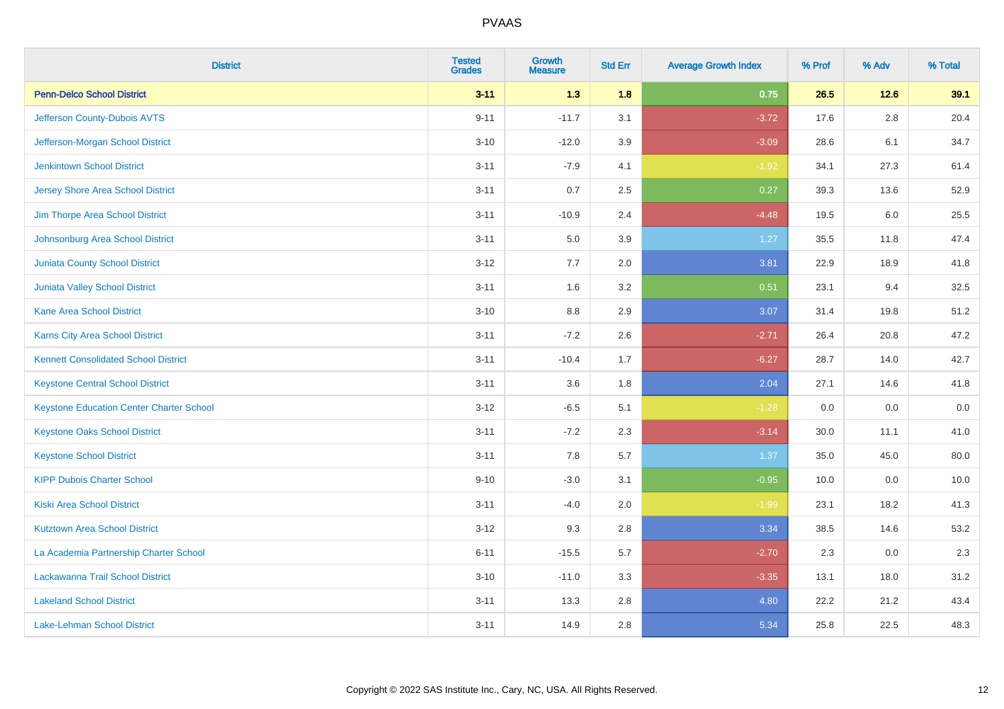| <b>District</b>                                 | <b>Tested</b><br><b>Grades</b> | <b>Growth</b><br><b>Measure</b> | <b>Std Err</b> | <b>Average Growth Index</b> | % Prof | % Adv   | % Total |
|-------------------------------------------------|--------------------------------|---------------------------------|----------------|-----------------------------|--------|---------|---------|
| <b>Penn-Delco School District</b>               | $3 - 11$                       | 1.3                             | 1.8            | 0.75                        | 26.5   | 12.6    | 39.1    |
| Jefferson County-Dubois AVTS                    | $9 - 11$                       | $-11.7$                         | 3.1            | $-3.72$                     | 17.6   | $2.8\,$ | 20.4    |
| Jefferson-Morgan School District                | $3 - 10$                       | $-12.0$                         | 3.9            | $-3.09$                     | 28.6   | 6.1     | 34.7    |
| <b>Jenkintown School District</b>               | $3 - 11$                       | $-7.9$                          | 4.1            | $-1.92$                     | 34.1   | 27.3    | 61.4    |
| <b>Jersey Shore Area School District</b>        | $3 - 11$                       | 0.7                             | 2.5            | 0.27                        | 39.3   | 13.6    | 52.9    |
| Jim Thorpe Area School District                 | $3 - 11$                       | $-10.9$                         | 2.4            | $-4.48$                     | 19.5   | 6.0     | 25.5    |
| Johnsonburg Area School District                | $3 - 11$                       | 5.0                             | 3.9            | 1.27                        | 35.5   | 11.8    | 47.4    |
| <b>Juniata County School District</b>           | $3 - 12$                       | 7.7                             | 2.0            | 3.81                        | 22.9   | 18.9    | 41.8    |
| Juniata Valley School District                  | $3 - 11$                       | 1.6                             | 3.2            | 0.51                        | 23.1   | 9.4     | 32.5    |
| <b>Kane Area School District</b>                | $3 - 10$                       | 8.8                             | 2.9            | 3.07                        | 31.4   | 19.8    | 51.2    |
| Karns City Area School District                 | $3 - 11$                       | $-7.2$                          | 2.6            | $-2.71$                     | 26.4   | 20.8    | 47.2    |
| <b>Kennett Consolidated School District</b>     | $3 - 11$                       | $-10.4$                         | 1.7            | $-6.27$                     | 28.7   | 14.0    | 42.7    |
| <b>Keystone Central School District</b>         | $3 - 11$                       | 3.6                             | 1.8            | 2.04                        | 27.1   | 14.6    | 41.8    |
| <b>Keystone Education Center Charter School</b> | $3 - 12$                       | $-6.5$                          | 5.1            | $-1.28$                     | 0.0    | 0.0     | 0.0     |
| <b>Keystone Oaks School District</b>            | $3 - 11$                       | $-7.2$                          | 2.3            | $-3.14$                     | 30.0   | 11.1    | 41.0    |
| <b>Keystone School District</b>                 | $3 - 11$                       | 7.8                             | 5.7            | 1.37                        | 35.0   | 45.0    | 80.0    |
| <b>KIPP Dubois Charter School</b>               | $9 - 10$                       | $-3.0$                          | 3.1            | $-0.95$                     | 10.0   | 0.0     | 10.0    |
| <b>Kiski Area School District</b>               | $3 - 11$                       | $-4.0$                          | 2.0            | $-1.99$                     | 23.1   | 18.2    | 41.3    |
| <b>Kutztown Area School District</b>            | $3 - 12$                       | 9.3                             | 2.8            | 3.34                        | 38.5   | 14.6    | 53.2    |
| La Academia Partnership Charter School          | $6 - 11$                       | $-15.5$                         | 5.7            | $-2.70$                     | 2.3    | 0.0     | 2.3     |
| Lackawanna Trail School District                | $3 - 10$                       | $-11.0$                         | 3.3            | $-3.35$                     | 13.1   | 18.0    | 31.2    |
| <b>Lakeland School District</b>                 | $3 - 11$                       | 13.3                            | 2.8            | 4.80                        | 22.2   | 21.2    | 43.4    |
| Lake-Lehman School District                     | $3 - 11$                       | 14.9                            | 2.8            | 5.34                        | 25.8   | 22.5    | 48.3    |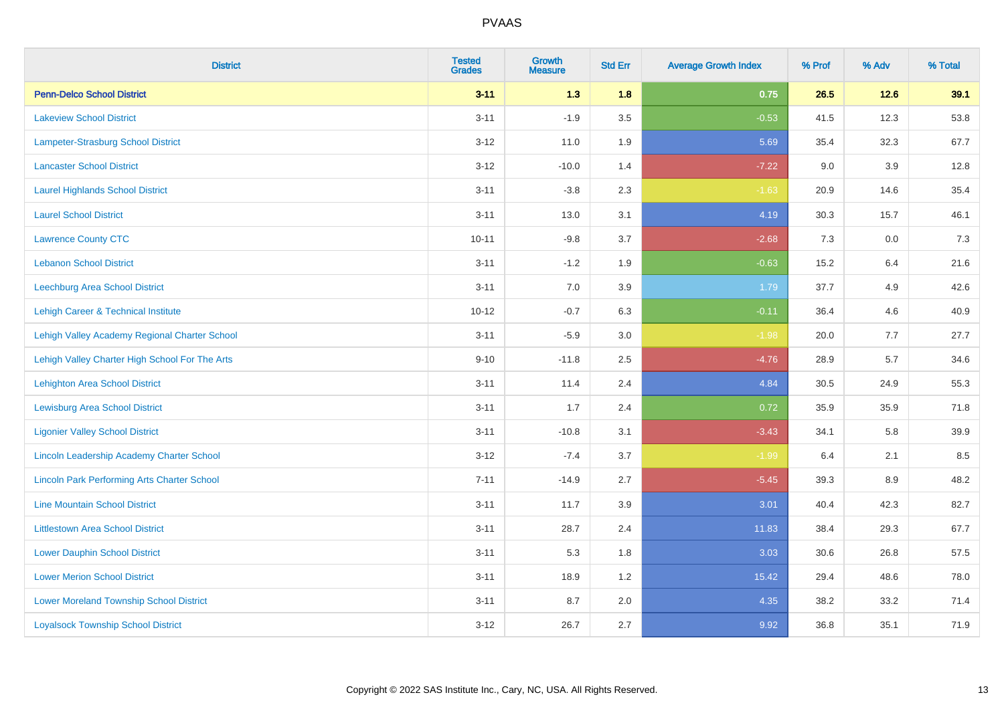| <b>District</b>                                    | <b>Tested</b><br><b>Grades</b> | Growth<br><b>Measure</b> | <b>Std Err</b> | <b>Average Growth Index</b> | % Prof | % Adv  | % Total |
|----------------------------------------------------|--------------------------------|--------------------------|----------------|-----------------------------|--------|--------|---------|
| <b>Penn-Delco School District</b>                  | $3 - 11$                       | 1.3                      | 1.8            | 0.75                        | 26.5   | $12.6$ | 39.1    |
| <b>Lakeview School District</b>                    | $3 - 11$                       | $-1.9$                   | 3.5            | $-0.53$                     | 41.5   | 12.3   | 53.8    |
| Lampeter-Strasburg School District                 | $3 - 12$                       | 11.0                     | 1.9            | 5.69                        | 35.4   | 32.3   | 67.7    |
| <b>Lancaster School District</b>                   | $3 - 12$                       | $-10.0$                  | 1.4            | $-7.22$                     | 9.0    | 3.9    | 12.8    |
| <b>Laurel Highlands School District</b>            | $3 - 11$                       | $-3.8$                   | 2.3            | $-1.63$                     | 20.9   | 14.6   | 35.4    |
| <b>Laurel School District</b>                      | $3 - 11$                       | 13.0                     | 3.1            | 4.19                        | 30.3   | 15.7   | 46.1    |
| <b>Lawrence County CTC</b>                         | $10 - 11$                      | $-9.8$                   | 3.7            | $-2.68$                     | 7.3    | 0.0    | 7.3     |
| <b>Lebanon School District</b>                     | $3 - 11$                       | $-1.2$                   | 1.9            | $-0.63$                     | 15.2   | 6.4    | 21.6    |
| Leechburg Area School District                     | $3 - 11$                       | 7.0                      | 3.9            | 1.79                        | 37.7   | 4.9    | 42.6    |
| Lehigh Career & Technical Institute                | $10 - 12$                      | $-0.7$                   | 6.3            | $-0.11$                     | 36.4   | 4.6    | 40.9    |
| Lehigh Valley Academy Regional Charter School      | $3 - 11$                       | $-5.9$                   | 3.0            | $-1.98$                     | 20.0   | 7.7    | 27.7    |
| Lehigh Valley Charter High School For The Arts     | $9 - 10$                       | $-11.8$                  | 2.5            | $-4.76$                     | 28.9   | 5.7    | 34.6    |
| Lehighton Area School District                     | $3 - 11$                       | 11.4                     | 2.4            | 4.84                        | 30.5   | 24.9   | 55.3    |
| Lewisburg Area School District                     | $3 - 11$                       | 1.7                      | 2.4            | 0.72                        | 35.9   | 35.9   | 71.8    |
| <b>Ligonier Valley School District</b>             | $3 - 11$                       | $-10.8$                  | 3.1            | $-3.43$                     | 34.1   | 5.8    | 39.9    |
| Lincoln Leadership Academy Charter School          | $3 - 12$                       | $-7.4$                   | 3.7            | $-1.99$                     | 6.4    | 2.1    | 8.5     |
| <b>Lincoln Park Performing Arts Charter School</b> | $7 - 11$                       | $-14.9$                  | 2.7            | $-5.45$                     | 39.3   | 8.9    | 48.2    |
| <b>Line Mountain School District</b>               | $3 - 11$                       | 11.7                     | 3.9            | 3.01                        | 40.4   | 42.3   | 82.7    |
| <b>Littlestown Area School District</b>            | $3 - 11$                       | 28.7                     | 2.4            | 11.83                       | 38.4   | 29.3   | 67.7    |
| <b>Lower Dauphin School District</b>               | $3 - 11$                       | 5.3                      | 1.8            | 3.03                        | 30.6   | 26.8   | 57.5    |
| <b>Lower Merion School District</b>                | $3 - 11$                       | 18.9                     | 1.2            | 15.42                       | 29.4   | 48.6   | 78.0    |
| <b>Lower Moreland Township School District</b>     | $3 - 11$                       | 8.7                      | 2.0            | 4.35                        | 38.2   | 33.2   | 71.4    |
| <b>Loyalsock Township School District</b>          | $3 - 12$                       | 26.7                     | 2.7            | 9.92                        | 36.8   | 35.1   | 71.9    |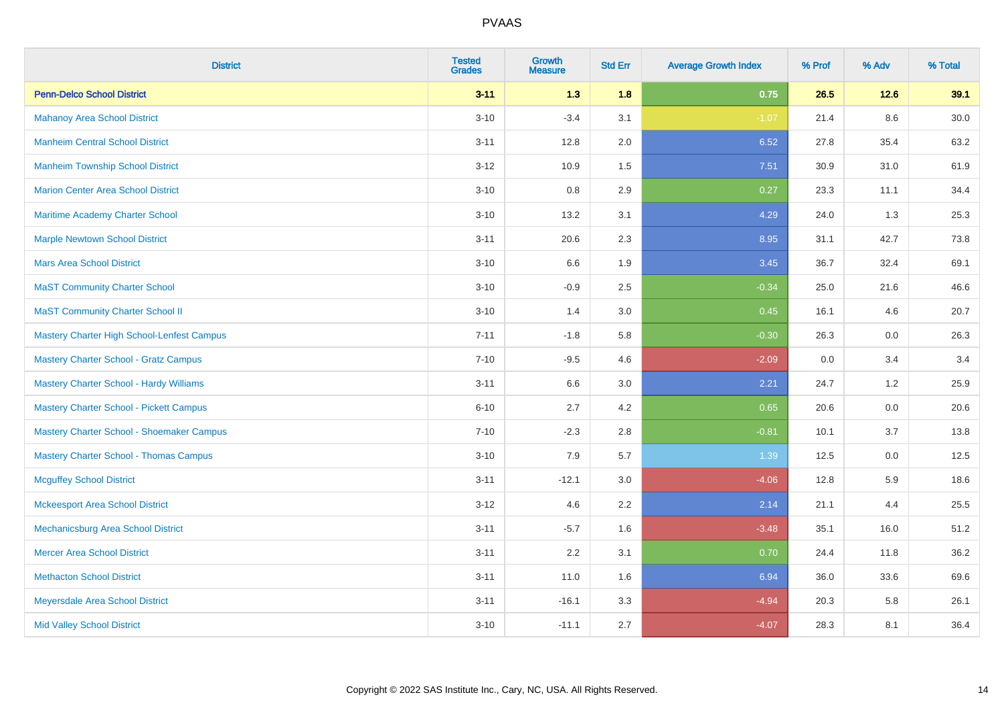| <b>District</b>                               | <b>Tested</b><br><b>Grades</b> | Growth<br><b>Measure</b> | <b>Std Err</b> | <b>Average Growth Index</b> | % Prof | % Adv   | % Total |
|-----------------------------------------------|--------------------------------|--------------------------|----------------|-----------------------------|--------|---------|---------|
| <b>Penn-Delco School District</b>             | $3 - 11$                       | 1.3                      | 1.8            | 0.75                        | 26.5   | $12.6$  | 39.1    |
| <b>Mahanoy Area School District</b>           | $3 - 10$                       | $-3.4$                   | 3.1            | $-1.07$                     | 21.4   | 8.6     | 30.0    |
| <b>Manheim Central School District</b>        | $3 - 11$                       | 12.8                     | 2.0            | 6.52                        | 27.8   | 35.4    | 63.2    |
| <b>Manheim Township School District</b>       | $3 - 12$                       | 10.9                     | 1.5            | 7.51                        | 30.9   | 31.0    | 61.9    |
| <b>Marion Center Area School District</b>     | $3 - 10$                       | 0.8                      | 2.9            | 0.27                        | 23.3   | 11.1    | 34.4    |
| Maritime Academy Charter School               | $3 - 10$                       | 13.2                     | 3.1            | 4.29                        | 24.0   | 1.3     | 25.3    |
| <b>Marple Newtown School District</b>         | $3 - 11$                       | 20.6                     | 2.3            | 8.95                        | 31.1   | 42.7    | 73.8    |
| <b>Mars Area School District</b>              | $3 - 10$                       | 6.6                      | 1.9            | 3.45                        | 36.7   | 32.4    | 69.1    |
| <b>MaST Community Charter School</b>          | $3 - 10$                       | $-0.9$                   | 2.5            | $-0.34$                     | 25.0   | 21.6    | 46.6    |
| <b>MaST Community Charter School II</b>       | $3 - 10$                       | 1.4                      | 3.0            | 0.45                        | 16.1   | 4.6     | 20.7    |
| Mastery Charter High School-Lenfest Campus    | $7 - 11$                       | $-1.8$                   | 5.8            | $-0.30$                     | 26.3   | 0.0     | 26.3    |
| <b>Mastery Charter School - Gratz Campus</b>  | $7 - 10$                       | $-9.5$                   | 4.6            | $-2.09$                     | 0.0    | 3.4     | 3.4     |
| Mastery Charter School - Hardy Williams       | $3 - 11$                       | 6.6                      | 3.0            | 2.21                        | 24.7   | 1.2     | 25.9    |
| Mastery Charter School - Pickett Campus       | $6 - 10$                       | 2.7                      | 4.2            | 0.65                        | 20.6   | 0.0     | 20.6    |
| Mastery Charter School - Shoemaker Campus     | $7 - 10$                       | $-2.3$                   | 2.8            | $-0.81$                     | 10.1   | 3.7     | 13.8    |
| <b>Mastery Charter School - Thomas Campus</b> | $3 - 10$                       | 7.9                      | 5.7            | 1.39                        | 12.5   | $0.0\,$ | 12.5    |
| <b>Mcguffey School District</b>               | $3 - 11$                       | $-12.1$                  | 3.0            | $-4.06$                     | 12.8   | 5.9     | 18.6    |
| <b>Mckeesport Area School District</b>        | $3 - 12$                       | 4.6                      | 2.2            | 2.14                        | 21.1   | 4.4     | 25.5    |
| Mechanicsburg Area School District            | $3 - 11$                       | $-5.7$                   | 1.6            | $-3.48$                     | 35.1   | 16.0    | 51.2    |
| <b>Mercer Area School District</b>            | $3 - 11$                       | 2.2                      | 3.1            | 0.70                        | 24.4   | 11.8    | 36.2    |
| <b>Methacton School District</b>              | $3 - 11$                       | 11.0                     | 1.6            | 6.94                        | 36.0   | 33.6    | 69.6    |
| Meyersdale Area School District               | $3 - 11$                       | $-16.1$                  | 3.3            | $-4.94$                     | 20.3   | 5.8     | 26.1    |
| <b>Mid Valley School District</b>             | $3 - 10$                       | $-11.1$                  | 2.7            | $-4.07$                     | 28.3   | 8.1     | 36.4    |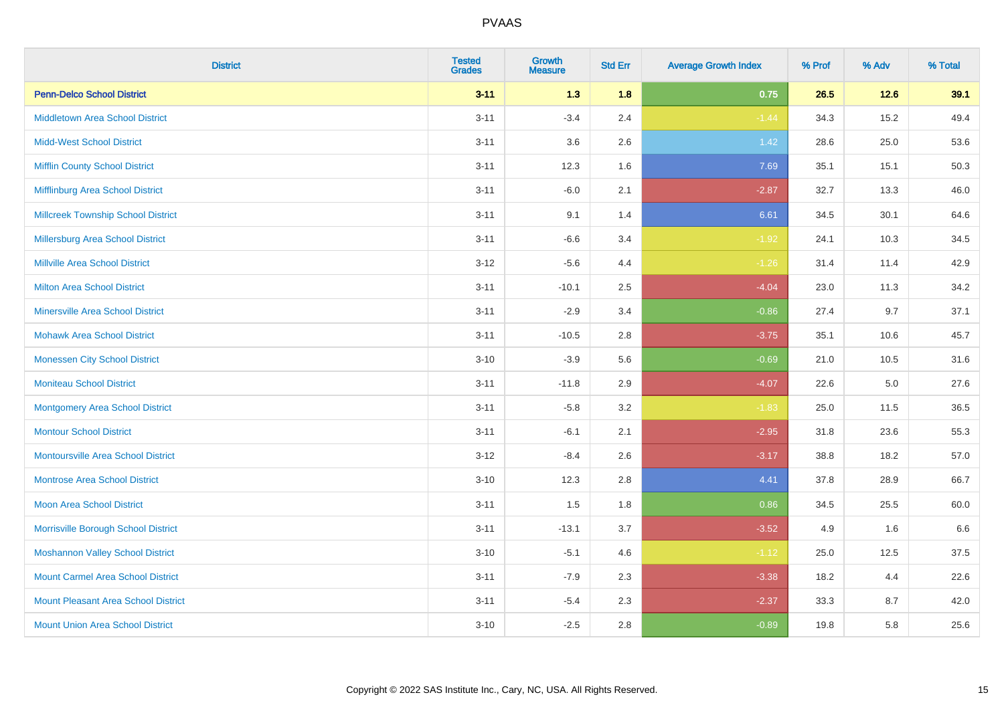| <b>District</b>                            | <b>Tested</b><br><b>Grades</b> | <b>Growth</b><br><b>Measure</b> | <b>Std Err</b> | <b>Average Growth Index</b> | % Prof | % Adv  | % Total |
|--------------------------------------------|--------------------------------|---------------------------------|----------------|-----------------------------|--------|--------|---------|
| <b>Penn-Delco School District</b>          | $3 - 11$                       | 1.3                             | 1.8            | 0.75                        | 26.5   | $12.6$ | 39.1    |
| <b>Middletown Area School District</b>     | $3 - 11$                       | $-3.4$                          | 2.4            | $-1.44$                     | 34.3   | 15.2   | 49.4    |
| <b>Midd-West School District</b>           | $3 - 11$                       | 3.6                             | 2.6            | $1.42$                      | 28.6   | 25.0   | 53.6    |
| <b>Mifflin County School District</b>      | $3 - 11$                       | 12.3                            | 1.6            | 7.69                        | 35.1   | 15.1   | 50.3    |
| Mifflinburg Area School District           | $3 - 11$                       | $-6.0$                          | 2.1            | $-2.87$                     | 32.7   | 13.3   | 46.0    |
| <b>Millcreek Township School District</b>  | $3 - 11$                       | 9.1                             | 1.4            | 6.61                        | 34.5   | 30.1   | 64.6    |
| <b>Millersburg Area School District</b>    | $3 - 11$                       | $-6.6$                          | 3.4            | $-1.92$                     | 24.1   | 10.3   | 34.5    |
| <b>Millville Area School District</b>      | $3-12$                         | $-5.6$                          | 4.4            | $-1.26$                     | 31.4   | 11.4   | 42.9    |
| Milton Area School District                | $3 - 11$                       | $-10.1$                         | 2.5            | $-4.04$                     | 23.0   | 11.3   | 34.2    |
| <b>Minersville Area School District</b>    | $3 - 11$                       | $-2.9$                          | 3.4            | $-0.86$                     | 27.4   | 9.7    | 37.1    |
| <b>Mohawk Area School District</b>         | $3 - 11$                       | $-10.5$                         | 2.8            | $-3.75$                     | 35.1   | 10.6   | 45.7    |
| <b>Monessen City School District</b>       | $3 - 10$                       | $-3.9$                          | 5.6            | $-0.69$                     | 21.0   | 10.5   | 31.6    |
| <b>Moniteau School District</b>            | $3 - 11$                       | $-11.8$                         | 2.9            | $-4.07$                     | 22.6   | 5.0    | 27.6    |
| <b>Montgomery Area School District</b>     | $3 - 11$                       | $-5.8$                          | 3.2            | $-1.83$                     | 25.0   | 11.5   | 36.5    |
| <b>Montour School District</b>             | $3 - 11$                       | $-6.1$                          | 2.1            | $-2.95$                     | 31.8   | 23.6   | 55.3    |
| <b>Montoursville Area School District</b>  | $3 - 12$                       | $-8.4$                          | 2.6            | $-3.17$                     | 38.8   | 18.2   | 57.0    |
| <b>Montrose Area School District</b>       | $3 - 10$                       | 12.3                            | 2.8            | 4.41                        | 37.8   | 28.9   | 66.7    |
| <b>Moon Area School District</b>           | $3 - 11$                       | 1.5                             | 1.8            | 0.86                        | 34.5   | 25.5   | 60.0    |
| Morrisville Borough School District        | $3 - 11$                       | $-13.1$                         | 3.7            | $-3.52$                     | 4.9    | 1.6    | 6.6     |
| <b>Moshannon Valley School District</b>    | $3 - 10$                       | $-5.1$                          | 4.6            | $-1.12$                     | 25.0   | 12.5   | 37.5    |
| <b>Mount Carmel Area School District</b>   | $3 - 11$                       | $-7.9$                          | 2.3            | $-3.38$                     | 18.2   | 4.4    | 22.6    |
| <b>Mount Pleasant Area School District</b> | $3 - 11$                       | $-5.4$                          | 2.3            | $-2.37$                     | 33.3   | 8.7    | 42.0    |
| <b>Mount Union Area School District</b>    | $3 - 10$                       | $-2.5$                          | 2.8            | $-0.89$                     | 19.8   | 5.8    | 25.6    |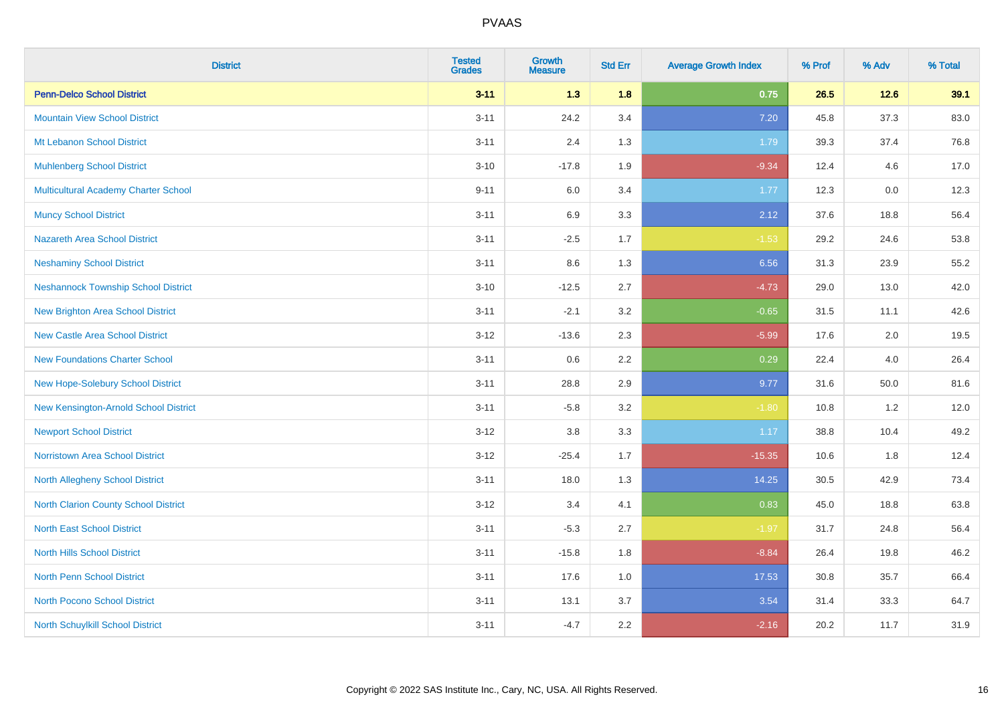| <b>District</b>                             | <b>Tested</b><br><b>Grades</b> | <b>Growth</b><br><b>Measure</b> | <b>Std Err</b> | <b>Average Growth Index</b> | % Prof | % Adv  | % Total |
|---------------------------------------------|--------------------------------|---------------------------------|----------------|-----------------------------|--------|--------|---------|
| <b>Penn-Delco School District</b>           | $3 - 11$                       | $1.3$                           | 1.8            | 0.75                        | 26.5   | $12.6$ | 39.1    |
| <b>Mountain View School District</b>        | $3 - 11$                       | 24.2                            | 3.4            | 7.20                        | 45.8   | 37.3   | 83.0    |
| Mt Lebanon School District                  | $3 - 11$                       | 2.4                             | 1.3            | 1.79                        | 39.3   | 37.4   | 76.8    |
| <b>Muhlenberg School District</b>           | $3 - 10$                       | $-17.8$                         | 1.9            | $-9.34$                     | 12.4   | 4.6    | 17.0    |
| <b>Multicultural Academy Charter School</b> | $9 - 11$                       | 6.0                             | 3.4            | 1.77                        | 12.3   | 0.0    | 12.3    |
| <b>Muncy School District</b>                | $3 - 11$                       | 6.9                             | 3.3            | 2.12                        | 37.6   | 18.8   | 56.4    |
| Nazareth Area School District               | $3 - 11$                       | $-2.5$                          | 1.7            | $-1.53$                     | 29.2   | 24.6   | 53.8    |
| <b>Neshaminy School District</b>            | $3 - 11$                       | 8.6                             | 1.3            | 6.56                        | 31.3   | 23.9   | 55.2    |
| <b>Neshannock Township School District</b>  | $3 - 10$                       | $-12.5$                         | 2.7            | $-4.73$                     | 29.0   | 13.0   | 42.0    |
| <b>New Brighton Area School District</b>    | $3 - 11$                       | $-2.1$                          | 3.2            | $-0.65$                     | 31.5   | 11.1   | 42.6    |
| <b>New Castle Area School District</b>      | $3 - 12$                       | $-13.6$                         | 2.3            | $-5.99$                     | 17.6   | 2.0    | 19.5    |
| <b>New Foundations Charter School</b>       | $3 - 11$                       | 0.6                             | 2.2            | 0.29                        | 22.4   | 4.0    | 26.4    |
| New Hope-Solebury School District           | $3 - 11$                       | 28.8                            | 2.9            | 9.77                        | 31.6   | 50.0   | 81.6    |
| New Kensington-Arnold School District       | $3 - 11$                       | $-5.8$                          | 3.2            | $-1.80$                     | 10.8   | 1.2    | 12.0    |
| <b>Newport School District</b>              | $3-12$                         | $3.8\,$                         | 3.3            | 1.17                        | 38.8   | 10.4   | 49.2    |
| <b>Norristown Area School District</b>      | $3 - 12$                       | $-25.4$                         | 1.7            | $-15.35$                    | 10.6   | 1.8    | 12.4    |
| <b>North Allegheny School District</b>      | $3 - 11$                       | 18.0                            | 1.3            | 14.25                       | 30.5   | 42.9   | 73.4    |
| North Clarion County School District        | $3-12$                         | 3.4                             | 4.1            | 0.83                        | 45.0   | 18.8   | 63.8    |
| <b>North East School District</b>           | $3 - 11$                       | $-5.3$                          | 2.7            | $-1.97$                     | 31.7   | 24.8   | 56.4    |
| <b>North Hills School District</b>          | $3 - 11$                       | $-15.8$                         | 1.8            | $-8.84$                     | 26.4   | 19.8   | 46.2    |
| North Penn School District                  | $3 - 11$                       | 17.6                            | 1.0            | 17.53                       | 30.8   | 35.7   | 66.4    |
| <b>North Pocono School District</b>         | $3 - 11$                       | 13.1                            | 3.7            | 3.54                        | 31.4   | 33.3   | 64.7    |
| <b>North Schuylkill School District</b>     | $3 - 11$                       | $-4.7$                          | 2.2            | $-2.16$                     | 20.2   | 11.7   | 31.9    |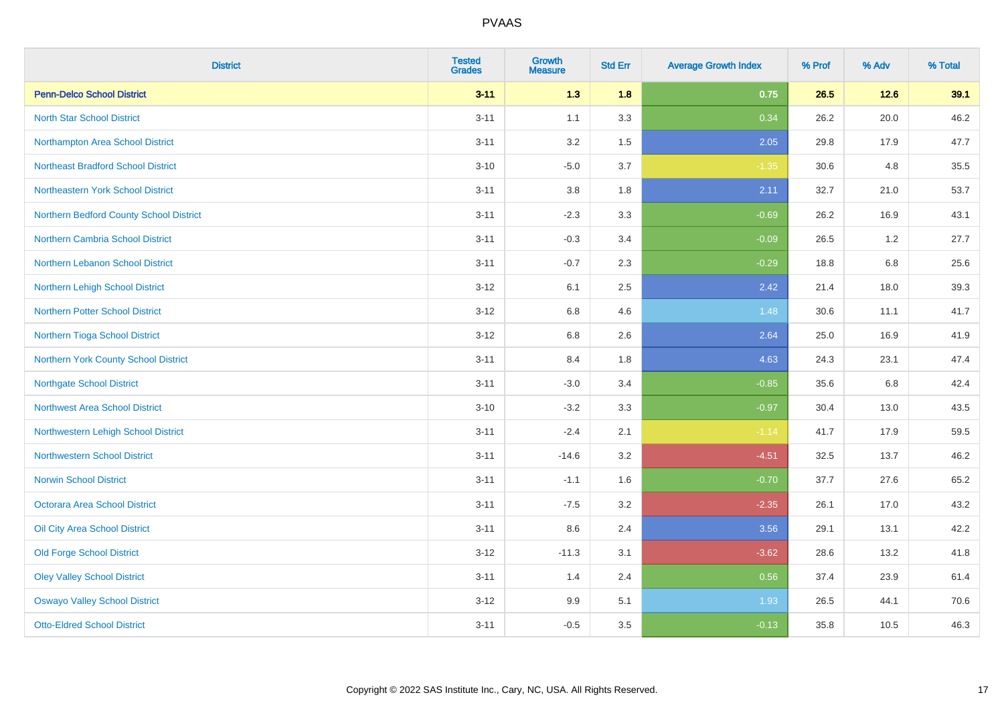| <b>District</b>                           | <b>Tested</b><br><b>Grades</b> | <b>Growth</b><br><b>Measure</b> | <b>Std Err</b> | <b>Average Growth Index</b> | % Prof | % Adv   | % Total |
|-------------------------------------------|--------------------------------|---------------------------------|----------------|-----------------------------|--------|---------|---------|
| <b>Penn-Delco School District</b>         | $3 - 11$                       | 1.3                             | 1.8            | 0.75                        | 26.5   | 12.6    | 39.1    |
| <b>North Star School District</b>         | $3 - 11$                       | 1.1                             | 3.3            | 0.34                        | 26.2   | 20.0    | 46.2    |
| Northampton Area School District          | $3 - 11$                       | 3.2                             | 1.5            | 2.05                        | 29.8   | 17.9    | 47.7    |
| <b>Northeast Bradford School District</b> | $3 - 10$                       | $-5.0$                          | 3.7            | $-1.35$                     | 30.6   | 4.8     | 35.5    |
| Northeastern York School District         | $3 - 11$                       | 3.8                             | 1.8            | 2.11                        | 32.7   | 21.0    | 53.7    |
| Northern Bedford County School District   | $3 - 11$                       | $-2.3$                          | 3.3            | $-0.69$                     | 26.2   | 16.9    | 43.1    |
| Northern Cambria School District          | $3 - 11$                       | $-0.3$                          | 3.4            | $-0.09$                     | 26.5   | 1.2     | 27.7    |
| Northern Lebanon School District          | $3 - 11$                       | $-0.7$                          | 2.3            | $-0.29$                     | 18.8   | 6.8     | 25.6    |
| Northern Lehigh School District           | $3 - 12$                       | 6.1                             | 2.5            | 2.42                        | 21.4   | 18.0    | 39.3    |
| Northern Potter School District           | $3 - 12$                       | 6.8                             | 4.6            | 1.48                        | 30.6   | 11.1    | 41.7    |
| Northern Tioga School District            | $3 - 12$                       | 6.8                             | 2.6            | 2.64                        | 25.0   | 16.9    | 41.9    |
| Northern York County School District      | $3 - 11$                       | 8.4                             | 1.8            | 4.63                        | 24.3   | 23.1    | 47.4    |
| <b>Northgate School District</b>          | $3 - 11$                       | $-3.0$                          | 3.4            | $-0.85$                     | 35.6   | $6.8\,$ | 42.4    |
| <b>Northwest Area School District</b>     | $3 - 10$                       | $-3.2$                          | 3.3            | $-0.97$                     | 30.4   | 13.0    | 43.5    |
| Northwestern Lehigh School District       | $3 - 11$                       | $-2.4$                          | 2.1            | $-1.14$                     | 41.7   | 17.9    | 59.5    |
| <b>Northwestern School District</b>       | $3 - 11$                       | $-14.6$                         | 3.2            | $-4.51$                     | 32.5   | 13.7    | 46.2    |
| <b>Norwin School District</b>             | $3 - 11$                       | $-1.1$                          | 1.6            | $-0.70$                     | 37.7   | 27.6    | 65.2    |
| <b>Octorara Area School District</b>      | $3 - 11$                       | $-7.5$                          | 3.2            | $-2.35$                     | 26.1   | 17.0    | 43.2    |
| Oil City Area School District             | $3 - 11$                       | 8.6                             | 2.4            | 3.56                        | 29.1   | 13.1    | 42.2    |
| <b>Old Forge School District</b>          | $3 - 12$                       | $-11.3$                         | 3.1            | $-3.62$                     | 28.6   | 13.2    | 41.8    |
| <b>Oley Valley School District</b>        | $3 - 11$                       | 1.4                             | 2.4            | 0.56                        | 37.4   | 23.9    | 61.4    |
| <b>Oswayo Valley School District</b>      | $3 - 12$                       | 9.9                             | 5.1            | 1.93                        | 26.5   | 44.1    | 70.6    |
| <b>Otto-Eldred School District</b>        | $3 - 11$                       | $-0.5$                          | 3.5            | $-0.13$                     | 35.8   | 10.5    | 46.3    |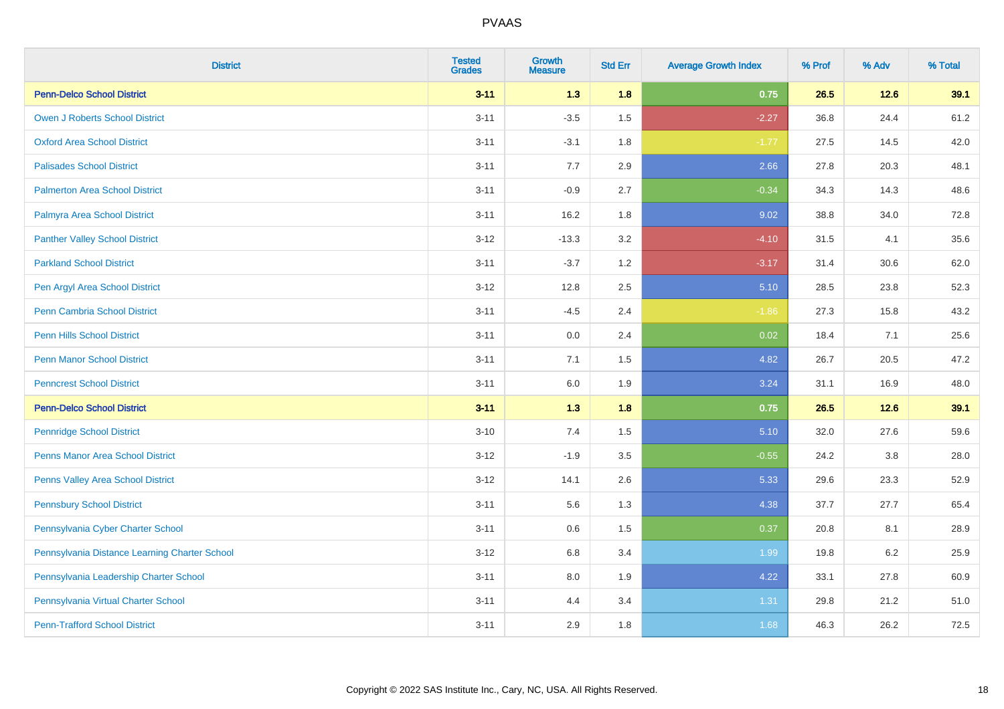| <b>District</b>                               | <b>Tested</b><br><b>Grades</b> | <b>Growth</b><br><b>Measure</b> | <b>Std Err</b> | <b>Average Growth Index</b> | % Prof | % Adv   | % Total |
|-----------------------------------------------|--------------------------------|---------------------------------|----------------|-----------------------------|--------|---------|---------|
| <b>Penn-Delco School District</b>             | $3 - 11$                       | 1.3                             | 1.8            | 0.75                        | 26.5   | $12.6$  | 39.1    |
| <b>Owen J Roberts School District</b>         | $3 - 11$                       | $-3.5$                          | 1.5            | $-2.27$                     | 36.8   | 24.4    | 61.2    |
| <b>Oxford Area School District</b>            | $3 - 11$                       | $-3.1$                          | 1.8            | $-1.77$                     | 27.5   | 14.5    | 42.0    |
| <b>Palisades School District</b>              | $3 - 11$                       | 7.7                             | 2.9            | 2.66                        | 27.8   | 20.3    | 48.1    |
| <b>Palmerton Area School District</b>         | $3 - 11$                       | $-0.9$                          | 2.7            | $-0.34$                     | 34.3   | 14.3    | 48.6    |
| Palmyra Area School District                  | $3 - 11$                       | 16.2                            | 1.8            | 9.02                        | 38.8   | 34.0    | 72.8    |
| <b>Panther Valley School District</b>         | $3 - 12$                       | $-13.3$                         | 3.2            | $-4.10$                     | 31.5   | 4.1     | 35.6    |
| <b>Parkland School District</b>               | $3 - 11$                       | $-3.7$                          | 1.2            | $-3.17$                     | 31.4   | 30.6    | 62.0    |
| Pen Argyl Area School District                | $3 - 12$                       | 12.8                            | 2.5            | 5.10                        | 28.5   | 23.8    | 52.3    |
| <b>Penn Cambria School District</b>           | $3 - 11$                       | $-4.5$                          | 2.4            | $-1.86$                     | 27.3   | 15.8    | 43.2    |
| Penn Hills School District                    | $3 - 11$                       | 0.0                             | 2.4            | 0.02                        | 18.4   | 7.1     | 25.6    |
| <b>Penn Manor School District</b>             | $3 - 11$                       | 7.1                             | 1.5            | 4.82                        | 26.7   | 20.5    | 47.2    |
| <b>Penncrest School District</b>              | $3 - 11$                       | 6.0                             | 1.9            | 3.24                        | 31.1   | 16.9    | 48.0    |
| <b>Penn-Delco School District</b>             | $3 - 11$                       | 1.3                             | 1.8            | 0.75                        | 26.5   | $12.6$  | 39.1    |
| <b>Pennridge School District</b>              | $3 - 10$                       | 7.4                             | 1.5            | 5.10                        | 32.0   | 27.6    | 59.6    |
| <b>Penns Manor Area School District</b>       | $3-12$                         | $-1.9$                          | 3.5            | $-0.55$                     | 24.2   | $3.8\,$ | 28.0    |
| Penns Valley Area School District             | $3-12$                         | 14.1                            | 2.6            | 5.33                        | 29.6   | 23.3    | 52.9    |
| <b>Pennsbury School District</b>              | $3 - 11$                       | 5.6                             | 1.3            | 4.38                        | 37.7   | 27.7    | 65.4    |
| Pennsylvania Cyber Charter School             | $3 - 11$                       | 0.6                             | 1.5            | 0.37                        | 20.8   | 8.1     | 28.9    |
| Pennsylvania Distance Learning Charter School | $3-12$                         | 6.8                             | 3.4            | 1.99                        | 19.8   | 6.2     | 25.9    |
| Pennsylvania Leadership Charter School        | $3 - 11$                       | 8.0                             | 1.9            | 4.22                        | 33.1   | 27.8    | 60.9    |
| Pennsylvania Virtual Charter School           | $3 - 11$                       | 4.4                             | 3.4            | 1.31                        | 29.8   | 21.2    | 51.0    |
| <b>Penn-Trafford School District</b>          | $3 - 11$                       | 2.9                             | 1.8            | 1.68                        | 46.3   | 26.2    | 72.5    |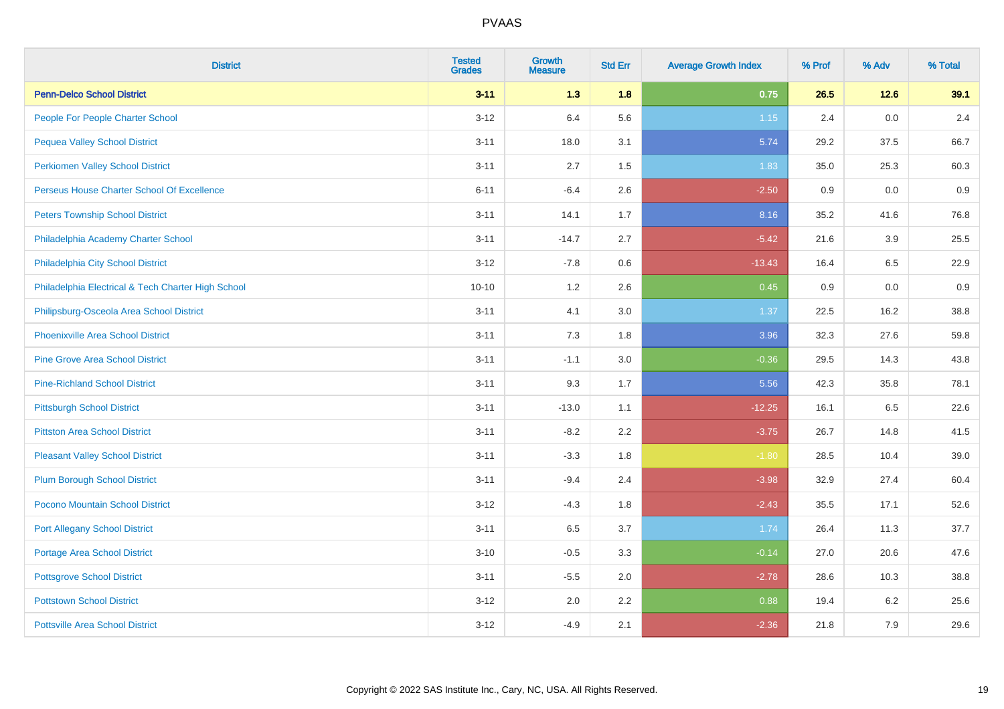| <b>District</b>                                    | <b>Tested</b><br><b>Grades</b> | <b>Growth</b><br><b>Measure</b> | <b>Std Err</b> | <b>Average Growth Index</b> | % Prof | % Adv | % Total |
|----------------------------------------------------|--------------------------------|---------------------------------|----------------|-----------------------------|--------|-------|---------|
| <b>Penn-Delco School District</b>                  | $3 - 11$                       | $1.3$                           | 1.8            | 0.75                        | 26.5   | 12.6  | 39.1    |
| People For People Charter School                   | $3-12$                         | 6.4                             | 5.6            | 1.15                        | 2.4    | 0.0   | 2.4     |
| <b>Pequea Valley School District</b>               | $3 - 11$                       | 18.0                            | 3.1            | 5.74                        | 29.2   | 37.5  | 66.7    |
| <b>Perkiomen Valley School District</b>            | $3 - 11$                       | 2.7                             | 1.5            | 1.83                        | 35.0   | 25.3  | 60.3    |
| Perseus House Charter School Of Excellence         | $6 - 11$                       | $-6.4$                          | 2.6            | $-2.50$                     | 0.9    | 0.0   | 0.9     |
| <b>Peters Township School District</b>             | $3 - 11$                       | 14.1                            | 1.7            | 8.16                        | 35.2   | 41.6  | 76.8    |
| Philadelphia Academy Charter School                | $3 - 11$                       | $-14.7$                         | 2.7            | $-5.42$                     | 21.6   | 3.9   | 25.5    |
| Philadelphia City School District                  | $3 - 12$                       | $-7.8$                          | 0.6            | $-13.43$                    | 16.4   | 6.5   | 22.9    |
| Philadelphia Electrical & Tech Charter High School | $10 - 10$                      | 1.2                             | 2.6            | 0.45                        | 0.9    | 0.0   | 0.9     |
| Philipsburg-Osceola Area School District           | $3 - 11$                       | 4.1                             | 3.0            | 1.37                        | 22.5   | 16.2  | 38.8    |
| <b>Phoenixville Area School District</b>           | $3 - 11$                       | 7.3                             | 1.8            | 3.96                        | 32.3   | 27.6  | 59.8    |
| <b>Pine Grove Area School District</b>             | $3 - 11$                       | $-1.1$                          | 3.0            | $-0.36$                     | 29.5   | 14.3  | 43.8    |
| <b>Pine-Richland School District</b>               | $3 - 11$                       | 9.3                             | 1.7            | 5.56                        | 42.3   | 35.8  | 78.1    |
| <b>Pittsburgh School District</b>                  | $3 - 11$                       | $-13.0$                         | 1.1            | $-12.25$                    | 16.1   | 6.5   | 22.6    |
| <b>Pittston Area School District</b>               | $3 - 11$                       | $-8.2$                          | 2.2            | $-3.75$                     | 26.7   | 14.8  | 41.5    |
| <b>Pleasant Valley School District</b>             | $3 - 11$                       | $-3.3$                          | 1.8            | $-1.80$                     | 28.5   | 10.4  | 39.0    |
| <b>Plum Borough School District</b>                | $3 - 11$                       | $-9.4$                          | 2.4            | $-3.98$                     | 32.9   | 27.4  | 60.4    |
| Pocono Mountain School District                    | $3 - 12$                       | $-4.3$                          | 1.8            | $-2.43$                     | 35.5   | 17.1  | 52.6    |
| <b>Port Allegany School District</b>               | $3 - 11$                       | 6.5                             | 3.7            | 1.74                        | 26.4   | 11.3  | 37.7    |
| <b>Portage Area School District</b>                | $3 - 10$                       | $-0.5$                          | 3.3            | $-0.14$                     | 27.0   | 20.6  | 47.6    |
| <b>Pottsgrove School District</b>                  | $3 - 11$                       | $-5.5$                          | 2.0            | $-2.78$                     | 28.6   | 10.3  | 38.8    |
| <b>Pottstown School District</b>                   | $3 - 12$                       | 2.0                             | 2.2            | 0.88                        | 19.4   | 6.2   | 25.6    |
| <b>Pottsville Area School District</b>             | $3 - 12$                       | $-4.9$                          | 2.1            | $-2.36$                     | 21.8   | 7.9   | 29.6    |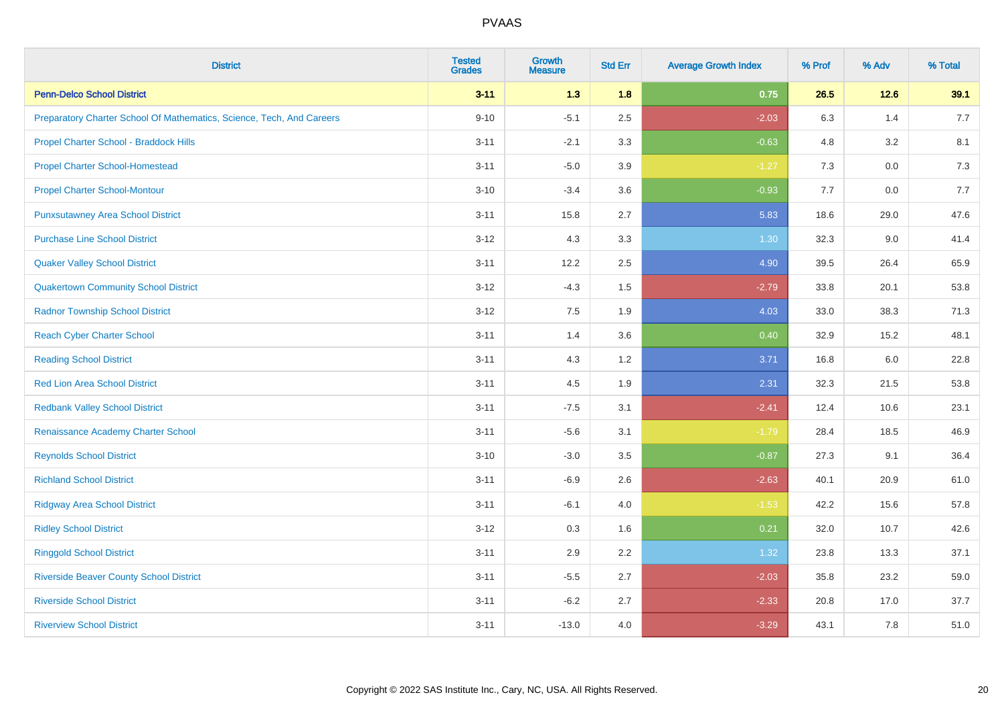| <b>District</b>                                                       | <b>Tested</b><br><b>Grades</b> | <b>Growth</b><br><b>Measure</b> | <b>Std Err</b> | <b>Average Growth Index</b> | % Prof | % Adv  | % Total |
|-----------------------------------------------------------------------|--------------------------------|---------------------------------|----------------|-----------------------------|--------|--------|---------|
| <b>Penn-Delco School District</b>                                     | $3 - 11$                       | 1.3                             | 1.8            | 0.75                        | 26.5   | $12.6$ | 39.1    |
| Preparatory Charter School Of Mathematics, Science, Tech, And Careers | $9 - 10$                       | $-5.1$                          | 2.5            | $-2.03$                     | 6.3    | 1.4    | 7.7     |
| Propel Charter School - Braddock Hills                                | $3 - 11$                       | $-2.1$                          | 3.3            | $-0.63$                     | 4.8    | 3.2    | 8.1     |
| <b>Propel Charter School-Homestead</b>                                | $3 - 11$                       | $-5.0$                          | 3.9            | $-1.27$                     | 7.3    | 0.0    | $7.3$   |
| <b>Propel Charter School-Montour</b>                                  | $3 - 10$                       | $-3.4$                          | 3.6            | $-0.93$                     | 7.7    | 0.0    | 7.7     |
| <b>Punxsutawney Area School District</b>                              | $3 - 11$                       | 15.8                            | 2.7            | 5.83                        | 18.6   | 29.0   | 47.6    |
| <b>Purchase Line School District</b>                                  | $3 - 12$                       | 4.3                             | 3.3            | 1.30                        | 32.3   | 9.0    | 41.4    |
| <b>Quaker Valley School District</b>                                  | $3 - 11$                       | 12.2                            | 2.5            | 4.90                        | 39.5   | 26.4   | 65.9    |
| <b>Quakertown Community School District</b>                           | $3 - 12$                       | $-4.3$                          | 1.5            | $-2.79$                     | 33.8   | 20.1   | 53.8    |
| <b>Radnor Township School District</b>                                | $3 - 12$                       | 7.5                             | 1.9            | 4.03                        | 33.0   | 38.3   | 71.3    |
| <b>Reach Cyber Charter School</b>                                     | $3 - 11$                       | 1.4                             | 3.6            | 0.40                        | 32.9   | 15.2   | 48.1    |
| <b>Reading School District</b>                                        | $3 - 11$                       | 4.3                             | 1.2            | 3.71                        | 16.8   | 6.0    | 22.8    |
| <b>Red Lion Area School District</b>                                  | $3 - 11$                       | 4.5                             | 1.9            | 2.31                        | 32.3   | 21.5   | 53.8    |
| <b>Redbank Valley School District</b>                                 | $3 - 11$                       | $-7.5$                          | 3.1            | $-2.41$                     | 12.4   | 10.6   | 23.1    |
| Renaissance Academy Charter School                                    | $3 - 11$                       | $-5.6$                          | 3.1            | $-1.79$                     | 28.4   | 18.5   | 46.9    |
| <b>Reynolds School District</b>                                       | $3 - 10$                       | $-3.0$                          | 3.5            | $-0.87$                     | 27.3   | 9.1    | 36.4    |
| <b>Richland School District</b>                                       | $3 - 11$                       | $-6.9$                          | 2.6            | $-2.63$                     | 40.1   | 20.9   | 61.0    |
| <b>Ridgway Area School District</b>                                   | $3 - 11$                       | $-6.1$                          | 4.0            | $-1.53$                     | 42.2   | 15.6   | 57.8    |
| <b>Ridley School District</b>                                         | $3 - 12$                       | 0.3                             | 1.6            | 0.21                        | 32.0   | 10.7   | 42.6    |
| <b>Ringgold School District</b>                                       | $3 - 11$                       | 2.9                             | 2.2            | 1.32                        | 23.8   | 13.3   | 37.1    |
| <b>Riverside Beaver County School District</b>                        | $3 - 11$                       | $-5.5$                          | 2.7            | $-2.03$                     | 35.8   | 23.2   | 59.0    |
| <b>Riverside School District</b>                                      | $3 - 11$                       | $-6.2$                          | 2.7            | $-2.33$                     | 20.8   | 17.0   | 37.7    |
| <b>Riverview School District</b>                                      | $3 - 11$                       | $-13.0$                         | 4.0            | $-3.29$                     | 43.1   | 7.8    | 51.0    |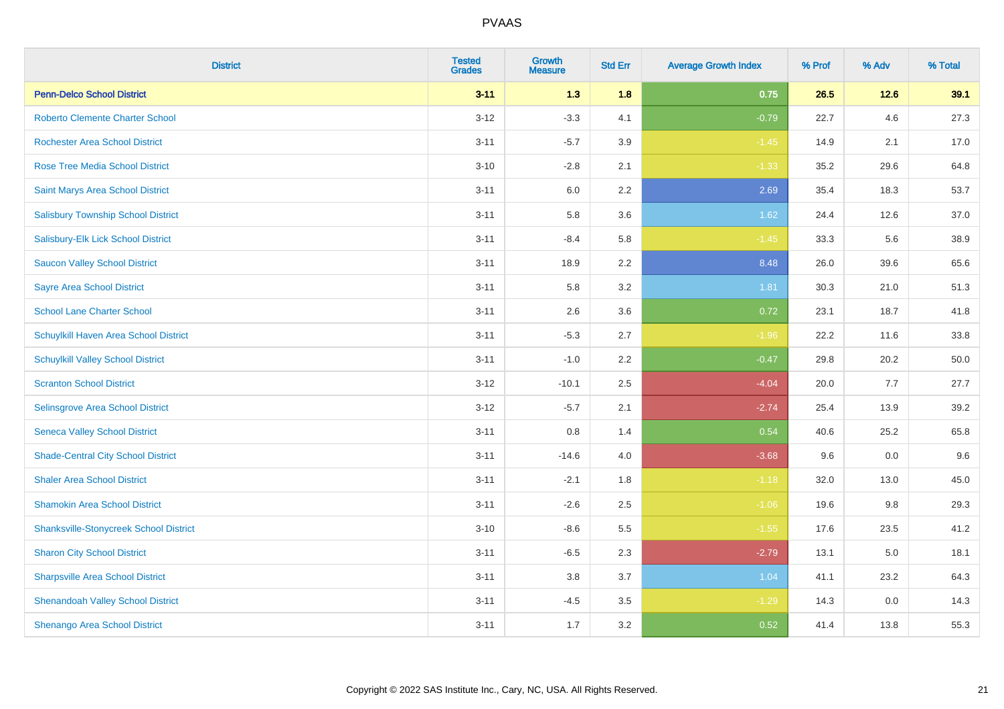| <b>District</b>                               | <b>Tested</b><br><b>Grades</b> | <b>Growth</b><br><b>Measure</b> | <b>Std Err</b> | <b>Average Growth Index</b> | % Prof | % Adv | % Total |
|-----------------------------------------------|--------------------------------|---------------------------------|----------------|-----------------------------|--------|-------|---------|
| <b>Penn-Delco School District</b>             | $3 - 11$                       | 1.3                             | 1.8            | 0.75                        | 26.5   | 12.6  | 39.1    |
| <b>Roberto Clemente Charter School</b>        | $3 - 12$                       | $-3.3$                          | 4.1            | $-0.79$                     | 22.7   | 4.6   | 27.3    |
| <b>Rochester Area School District</b>         | $3 - 11$                       | $-5.7$                          | 3.9            | $-1.45$                     | 14.9   | 2.1   | 17.0    |
| <b>Rose Tree Media School District</b>        | $3 - 10$                       | $-2.8$                          | 2.1            | $-1.33$                     | 35.2   | 29.6  | 64.8    |
| Saint Marys Area School District              | $3 - 11$                       | 6.0                             | 2.2            | 2.69                        | 35.4   | 18.3  | 53.7    |
| <b>Salisbury Township School District</b>     | $3 - 11$                       | 5.8                             | 3.6            | 1.62                        | 24.4   | 12.6  | 37.0    |
| Salisbury-Elk Lick School District            | $3 - 11$                       | $-8.4$                          | 5.8            | $-1.45$                     | 33.3   | 5.6   | 38.9    |
| <b>Saucon Valley School District</b>          | $3 - 11$                       | 18.9                            | 2.2            | 8.48                        | 26.0   | 39.6  | 65.6    |
| <b>Sayre Area School District</b>             | $3 - 11$                       | 5.8                             | 3.2            | 1.81                        | 30.3   | 21.0  | 51.3    |
| <b>School Lane Charter School</b>             | $3 - 11$                       | 2.6                             | 3.6            | 0.72                        | 23.1   | 18.7  | 41.8    |
| Schuylkill Haven Area School District         | $3 - 11$                       | $-5.3$                          | 2.7            | $-1.96$                     | 22.2   | 11.6  | 33.8    |
| <b>Schuylkill Valley School District</b>      | $3 - 11$                       | $-1.0$                          | 2.2            | $-0.47$                     | 29.8   | 20.2  | 50.0    |
| <b>Scranton School District</b>               | $3 - 12$                       | $-10.1$                         | 2.5            | $-4.04$                     | 20.0   | 7.7   | 27.7    |
| Selinsgrove Area School District              | $3 - 12$                       | $-5.7$                          | 2.1            | $-2.74$                     | 25.4   | 13.9  | 39.2    |
| <b>Seneca Valley School District</b>          | $3 - 11$                       | $0.8\,$                         | 1.4            | 0.54                        | 40.6   | 25.2  | 65.8    |
| <b>Shade-Central City School District</b>     | $3 - 11$                       | $-14.6$                         | 4.0            | $-3.68$                     | 9.6    | 0.0   | 9.6     |
| <b>Shaler Area School District</b>            | $3 - 11$                       | $-2.1$                          | 1.8            | $-1.18$                     | 32.0   | 13.0  | 45.0    |
| <b>Shamokin Area School District</b>          | $3 - 11$                       | $-2.6$                          | 2.5            | $-1.06$                     | 19.6   | 9.8   | 29.3    |
| <b>Shanksville-Stonycreek School District</b> | $3 - 10$                       | $-8.6$                          | 5.5            | $-1.55$                     | 17.6   | 23.5  | 41.2    |
| <b>Sharon City School District</b>            | $3 - 11$                       | $-6.5$                          | 2.3            | $-2.79$                     | 13.1   | 5.0   | 18.1    |
| <b>Sharpsville Area School District</b>       | $3 - 11$                       | 3.8                             | 3.7            | 1.04                        | 41.1   | 23.2  | 64.3    |
| <b>Shenandoah Valley School District</b>      | $3 - 11$                       | $-4.5$                          | 3.5            | $-1.29$                     | 14.3   | 0.0   | 14.3    |
| <b>Shenango Area School District</b>          | $3 - 11$                       | 1.7                             | 3.2            | 0.52                        | 41.4   | 13.8  | 55.3    |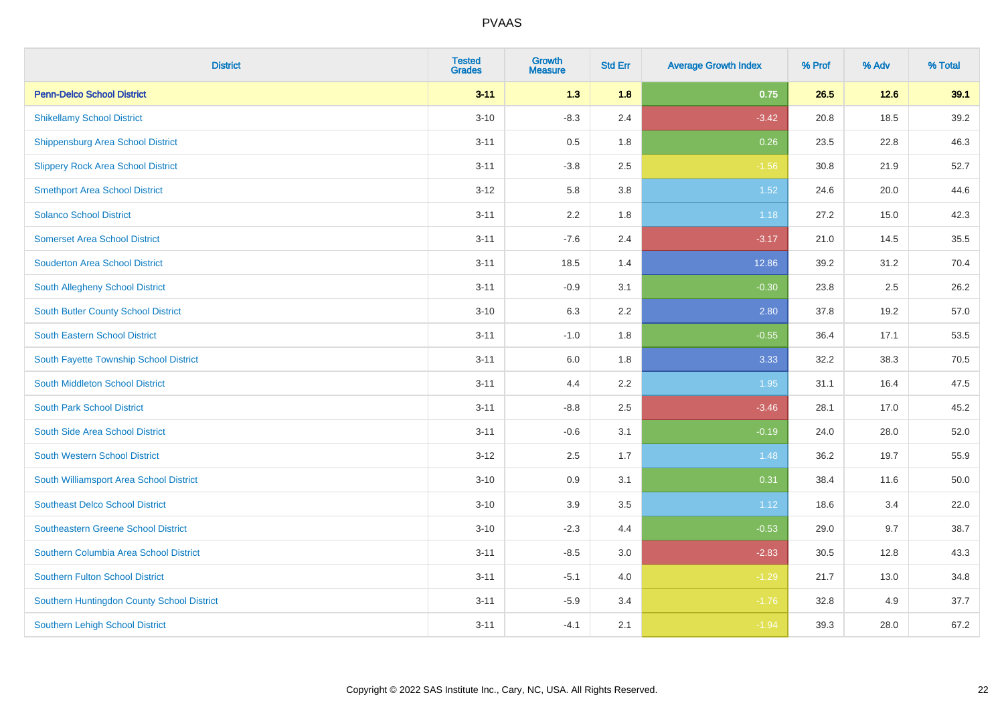| <b>District</b>                            | <b>Tested</b><br><b>Grades</b> | <b>Growth</b><br><b>Measure</b> | <b>Std Err</b> | <b>Average Growth Index</b> | % Prof | % Adv | % Total |
|--------------------------------------------|--------------------------------|---------------------------------|----------------|-----------------------------|--------|-------|---------|
| <b>Penn-Delco School District</b>          | $3 - 11$                       | $1.3$                           | 1.8            | 0.75                        | 26.5   | 12.6  | 39.1    |
| <b>Shikellamy School District</b>          | $3 - 10$                       | $-8.3$                          | 2.4            | $-3.42$                     | 20.8   | 18.5  | 39.2    |
| <b>Shippensburg Area School District</b>   | $3 - 11$                       | 0.5                             | 1.8            | 0.26                        | 23.5   | 22.8  | 46.3    |
| <b>Slippery Rock Area School District</b>  | $3 - 11$                       | $-3.8$                          | 2.5            | $-1.56$                     | 30.8   | 21.9  | 52.7    |
| <b>Smethport Area School District</b>      | $3 - 12$                       | 5.8                             | 3.8            | 1.52                        | 24.6   | 20.0  | 44.6    |
| <b>Solanco School District</b>             | $3 - 11$                       | 2.2                             | 1.8            | 1.18                        | 27.2   | 15.0  | 42.3    |
| <b>Somerset Area School District</b>       | $3 - 11$                       | $-7.6$                          | 2.4            | $-3.17$                     | 21.0   | 14.5  | 35.5    |
| <b>Souderton Area School District</b>      | $3 - 11$                       | 18.5                            | 1.4            | 12.86                       | 39.2   | 31.2  | 70.4    |
| South Allegheny School District            | $3 - 11$                       | $-0.9$                          | 3.1            | $-0.30$                     | 23.8   | 2.5   | 26.2    |
| South Butler County School District        | $3 - 10$                       | 6.3                             | 2.2            | 2.80                        | 37.8   | 19.2  | 57.0    |
| <b>South Eastern School District</b>       | $3 - 11$                       | $-1.0$                          | 1.8            | $-0.55$                     | 36.4   | 17.1  | 53.5    |
| South Fayette Township School District     | $3 - 11$                       | 6.0                             | 1.8            | 3.33                        | 32.2   | 38.3  | 70.5    |
| South Middleton School District            | $3 - 11$                       | 4.4                             | 2.2            | 1.95                        | 31.1   | 16.4  | 47.5    |
| <b>South Park School District</b>          | $3 - 11$                       | $-8.8$                          | 2.5            | $-3.46$                     | 28.1   | 17.0  | 45.2    |
| South Side Area School District            | $3 - 11$                       | $-0.6$                          | 3.1            | $-0.19$                     | 24.0   | 28.0  | 52.0    |
| <b>South Western School District</b>       | $3 - 12$                       | 2.5                             | 1.7            | 1.48                        | 36.2   | 19.7  | 55.9    |
| South Williamsport Area School District    | $3 - 10$                       | 0.9                             | 3.1            | 0.31                        | 38.4   | 11.6  | 50.0    |
| <b>Southeast Delco School District</b>     | $3 - 10$                       | 3.9                             | 3.5            | 1.12                        | 18.6   | 3.4   | 22.0    |
| <b>Southeastern Greene School District</b> | $3 - 10$                       | $-2.3$                          | 4.4            | $-0.53$                     | 29.0   | 9.7   | 38.7    |
| Southern Columbia Area School District     | $3 - 11$                       | $-8.5$                          | 3.0            | $-2.83$                     | 30.5   | 12.8  | 43.3    |
| <b>Southern Fulton School District</b>     | $3 - 11$                       | $-5.1$                          | 4.0            | $-1.29$                     | 21.7   | 13.0  | 34.8    |
| Southern Huntingdon County School District | $3 - 11$                       | $-5.9$                          | 3.4            | $-1.76$                     | 32.8   | 4.9   | 37.7    |
| <b>Southern Lehigh School District</b>     | $3 - 11$                       | $-4.1$                          | 2.1            | $-1.94$                     | 39.3   | 28.0  | 67.2    |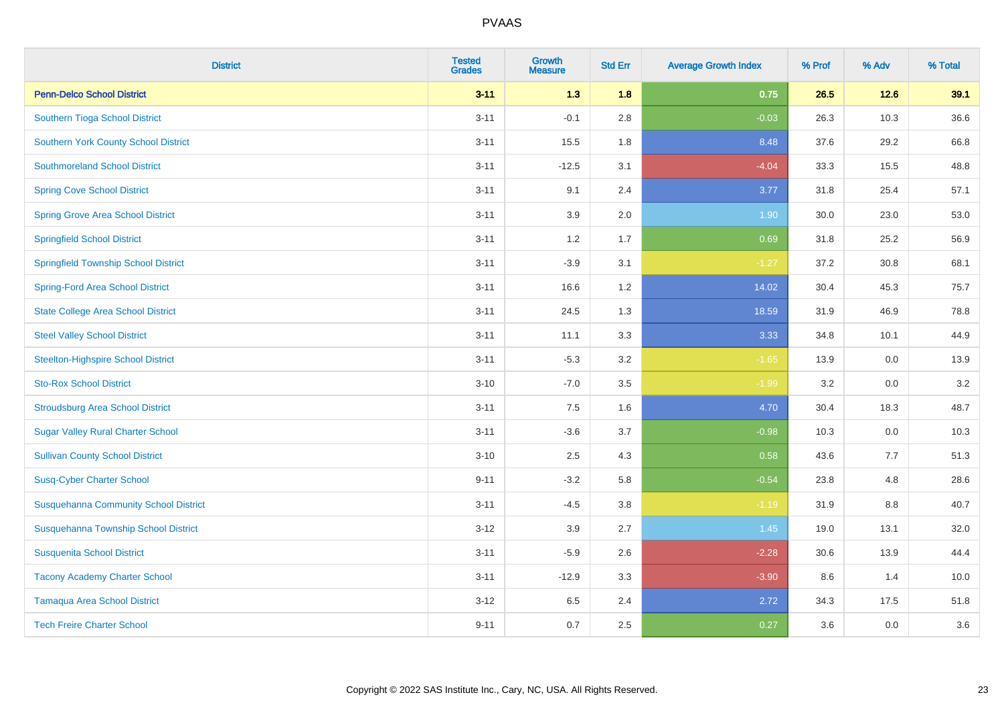| <b>District</b>                              | <b>Tested</b><br><b>Grades</b> | <b>Growth</b><br><b>Measure</b> | <b>Std Err</b> | <b>Average Growth Index</b> | % Prof | % Adv | % Total |
|----------------------------------------------|--------------------------------|---------------------------------|----------------|-----------------------------|--------|-------|---------|
| <b>Penn-Delco School District</b>            | $3 - 11$                       | 1.3                             | 1.8            | 0.75                        | 26.5   | 12.6  | 39.1    |
| Southern Tioga School District               | $3 - 11$                       | $-0.1$                          | 2.8            | $-0.03$                     | 26.3   | 10.3  | 36.6    |
| <b>Southern York County School District</b>  | $3 - 11$                       | 15.5                            | 1.8            | 8.48                        | 37.6   | 29.2  | 66.8    |
| <b>Southmoreland School District</b>         | $3 - 11$                       | $-12.5$                         | 3.1            | $-4.04$                     | 33.3   | 15.5  | 48.8    |
| <b>Spring Cove School District</b>           | $3 - 11$                       | 9.1                             | 2.4            | 3.77                        | 31.8   | 25.4  | 57.1    |
| <b>Spring Grove Area School District</b>     | $3 - 11$                       | 3.9                             | 2.0            | 1.90                        | 30.0   | 23.0  | 53.0    |
| <b>Springfield School District</b>           | $3 - 11$                       | 1.2                             | 1.7            | 0.69                        | 31.8   | 25.2  | 56.9    |
| <b>Springfield Township School District</b>  | $3 - 11$                       | $-3.9$                          | 3.1            | $-1.27$                     | 37.2   | 30.8  | 68.1    |
| <b>Spring-Ford Area School District</b>      | $3 - 11$                       | 16.6                            | 1.2            | 14.02                       | 30.4   | 45.3  | 75.7    |
| <b>State College Area School District</b>    | $3 - 11$                       | 24.5                            | 1.3            | 18.59                       | 31.9   | 46.9  | 78.8    |
| <b>Steel Valley School District</b>          | $3 - 11$                       | 11.1                            | 3.3            | 3.33                        | 34.8   | 10.1  | 44.9    |
| <b>Steelton-Highspire School District</b>    | $3 - 11$                       | $-5.3$                          | 3.2            | $-1.65$                     | 13.9   | 0.0   | 13.9    |
| <b>Sto-Rox School District</b>               | $3 - 10$                       | $-7.0$                          | 3.5            | $-1.99$                     | 3.2    | 0.0   | 3.2     |
| <b>Stroudsburg Area School District</b>      | $3 - 11$                       | $7.5\,$                         | 1.6            | 4.70                        | 30.4   | 18.3  | 48.7    |
| <b>Sugar Valley Rural Charter School</b>     | $3 - 11$                       | $-3.6$                          | 3.7            | $-0.98$                     | 10.3   | 0.0   | 10.3    |
| <b>Sullivan County School District</b>       | $3 - 10$                       | 2.5                             | 4.3            | 0.58                        | 43.6   | 7.7   | 51.3    |
| <b>Susq-Cyber Charter School</b>             | $9 - 11$                       | $-3.2$                          | 5.8            | $-0.54$                     | 23.8   | 4.8   | 28.6    |
| <b>Susquehanna Community School District</b> | $3 - 11$                       | $-4.5$                          | 3.8            | $-1.19$                     | 31.9   | 8.8   | 40.7    |
| Susquehanna Township School District         | $3 - 12$                       | 3.9                             | 2.7            | 1.45                        | 19.0   | 13.1  | 32.0    |
| <b>Susquenita School District</b>            | $3 - 11$                       | $-5.9$                          | 2.6            | $-2.28$                     | 30.6   | 13.9  | 44.4    |
| <b>Tacony Academy Charter School</b>         | $3 - 11$                       | $-12.9$                         | 3.3            | $-3.90$                     | 8.6    | 1.4   | 10.0    |
| <b>Tamaqua Area School District</b>          | $3 - 12$                       | 6.5                             | 2.4            | 2.72                        | 34.3   | 17.5  | 51.8    |
| <b>Tech Freire Charter School</b>            | $9 - 11$                       | 0.7                             | 2.5            | 0.27                        | 3.6    | 0.0   | 3.6     |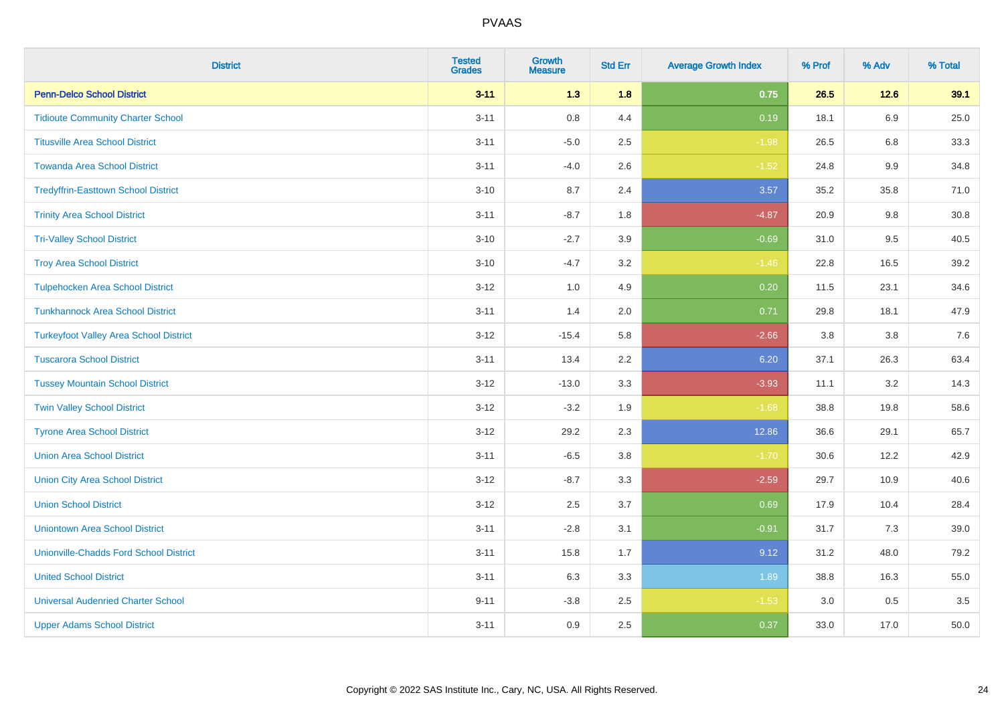| <b>District</b>                               | <b>Tested</b><br><b>Grades</b> | <b>Growth</b><br><b>Measure</b> | <b>Std Err</b> | <b>Average Growth Index</b> | % Prof | % Adv   | % Total |
|-----------------------------------------------|--------------------------------|---------------------------------|----------------|-----------------------------|--------|---------|---------|
| <b>Penn-Delco School District</b>             | $3 - 11$                       | 1.3                             | 1.8            | 0.75                        | 26.5   | 12.6    | 39.1    |
| <b>Tidioute Community Charter School</b>      | $3 - 11$                       | $0.8\,$                         | 4.4            | 0.19                        | 18.1   | 6.9     | 25.0    |
| <b>Titusville Area School District</b>        | $3 - 11$                       | $-5.0$                          | 2.5            | $-1.98$                     | 26.5   | 6.8     | 33.3    |
| <b>Towanda Area School District</b>           | $3 - 11$                       | $-4.0$                          | 2.6            | $-1.52$                     | 24.8   | $9.9\,$ | 34.8    |
| <b>Tredyffrin-Easttown School District</b>    | $3 - 10$                       | 8.7                             | 2.4            | 3.57                        | 35.2   | 35.8    | 71.0    |
| <b>Trinity Area School District</b>           | $3 - 11$                       | $-8.7$                          | 1.8            | $-4.87$                     | 20.9   | 9.8     | 30.8    |
| <b>Tri-Valley School District</b>             | $3 - 10$                       | $-2.7$                          | 3.9            | $-0.69$                     | 31.0   | 9.5     | 40.5    |
| <b>Troy Area School District</b>              | $3 - 10$                       | $-4.7$                          | 3.2            | $-1.46$                     | 22.8   | 16.5    | 39.2    |
| <b>Tulpehocken Area School District</b>       | $3 - 12$                       | 1.0                             | 4.9            | 0.20                        | 11.5   | 23.1    | 34.6    |
| <b>Tunkhannock Area School District</b>       | $3 - 11$                       | 1.4                             | 2.0            | 0.71                        | 29.8   | 18.1    | 47.9    |
| <b>Turkeyfoot Valley Area School District</b> | $3 - 12$                       | $-15.4$                         | 5.8            | $-2.66$                     | 3.8    | 3.8     | 7.6     |
| <b>Tuscarora School District</b>              | $3 - 11$                       | 13.4                            | 2.2            | 6.20                        | 37.1   | 26.3    | 63.4    |
| <b>Tussey Mountain School District</b>        | $3 - 12$                       | $-13.0$                         | 3.3            | $-3.93$                     | 11.1   | $3.2\,$ | 14.3    |
| <b>Twin Valley School District</b>            | $3 - 12$                       | $-3.2$                          | 1.9            | $-1.68$                     | 38.8   | 19.8    | 58.6    |
| <b>Tyrone Area School District</b>            | $3 - 12$                       | 29.2                            | 2.3            | 12.86                       | 36.6   | 29.1    | 65.7    |
| <b>Union Area School District</b>             | $3 - 11$                       | $-6.5$                          | 3.8            | $-1.70$                     | 30.6   | 12.2    | 42.9    |
| <b>Union City Area School District</b>        | $3 - 12$                       | $-8.7$                          | 3.3            | $-2.59$                     | 29.7   | 10.9    | 40.6    |
| <b>Union School District</b>                  | $3 - 12$                       | 2.5                             | 3.7            | 0.69                        | 17.9   | 10.4    | 28.4    |
| <b>Uniontown Area School District</b>         | $3 - 11$                       | $-2.8$                          | 3.1            | $-0.91$                     | 31.7   | 7.3     | 39.0    |
| <b>Unionville-Chadds Ford School District</b> | $3 - 11$                       | 15.8                            | 1.7            | 9.12                        | 31.2   | 48.0    | 79.2    |
| <b>United School District</b>                 | $3 - 11$                       | 6.3                             | 3.3            | 1.89                        | 38.8   | 16.3    | 55.0    |
| <b>Universal Audenried Charter School</b>     | $9 - 11$                       | $-3.8$                          | 2.5            | $-1.53$                     | 3.0    | 0.5     | 3.5     |
| <b>Upper Adams School District</b>            | $3 - 11$                       | 0.9                             | 2.5            | 0.37                        | 33.0   | 17.0    | 50.0    |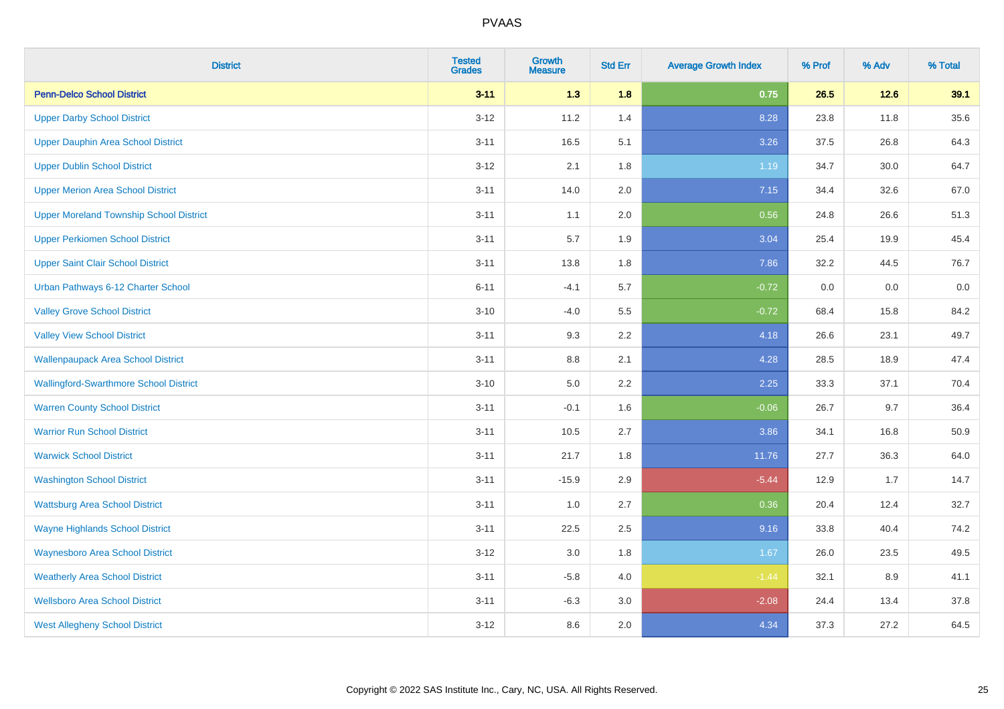| <b>District</b>                                | <b>Tested</b><br><b>Grades</b> | Growth<br><b>Measure</b> | <b>Std Err</b> | <b>Average Growth Index</b> | % Prof | % Adv  | % Total |
|------------------------------------------------|--------------------------------|--------------------------|----------------|-----------------------------|--------|--------|---------|
| <b>Penn-Delco School District</b>              | $3 - 11$                       | 1.3                      | 1.8            | 0.75                        | 26.5   | $12.6$ | 39.1    |
| <b>Upper Darby School District</b>             | $3 - 12$                       | 11.2                     | 1.4            | 8.28                        | 23.8   | 11.8   | 35.6    |
| Upper Dauphin Area School District             | $3 - 11$                       | 16.5                     | 5.1            | 3.26                        | 37.5   | 26.8   | 64.3    |
| <b>Upper Dublin School District</b>            | $3 - 12$                       | 2.1                      | 1.8            | 1.19                        | 34.7   | 30.0   | 64.7    |
| <b>Upper Merion Area School District</b>       | $3 - 11$                       | 14.0                     | 2.0            | 7.15                        | 34.4   | 32.6   | 67.0    |
| <b>Upper Moreland Township School District</b> | $3 - 11$                       | 1.1                      | 2.0            | 0.56                        | 24.8   | 26.6   | 51.3    |
| <b>Upper Perkiomen School District</b>         | $3 - 11$                       | 5.7                      | 1.9            | 3.04                        | 25.4   | 19.9   | 45.4    |
| <b>Upper Saint Clair School District</b>       | $3 - 11$                       | 13.8                     | 1.8            | 7.86                        | 32.2   | 44.5   | 76.7    |
| Urban Pathways 6-12 Charter School             | $6 - 11$                       | $-4.1$                   | 5.7            | $-0.72$                     | 0.0    | 0.0    | $0.0\,$ |
| <b>Valley Grove School District</b>            | $3 - 10$                       | $-4.0$                   | 5.5            | $-0.72$                     | 68.4   | 15.8   | 84.2    |
| <b>Valley View School District</b>             | $3 - 11$                       | 9.3                      | 2.2            | 4.18                        | 26.6   | 23.1   | 49.7    |
| <b>Wallenpaupack Area School District</b>      | $3 - 11$                       | 8.8                      | 2.1            | 4.28                        | 28.5   | 18.9   | 47.4    |
| <b>Wallingford-Swarthmore School District</b>  | $3 - 10$                       | 5.0                      | $2.2\,$        | 2.25                        | 33.3   | 37.1   | 70.4    |
| <b>Warren County School District</b>           | $3 - 11$                       | $-0.1$                   | 1.6            | $-0.06$                     | 26.7   | 9.7    | 36.4    |
| <b>Warrior Run School District</b>             | $3 - 11$                       | 10.5                     | 2.7            | 3.86                        | 34.1   | 16.8   | 50.9    |
| <b>Warwick School District</b>                 | $3 - 11$                       | 21.7                     | 1.8            | 11.76                       | 27.7   | 36.3   | 64.0    |
| <b>Washington School District</b>              | $3 - 11$                       | $-15.9$                  | 2.9            | $-5.44$                     | 12.9   | 1.7    | 14.7    |
| <b>Wattsburg Area School District</b>          | $3 - 11$                       | 1.0                      | 2.7            | 0.36                        | 20.4   | 12.4   | 32.7    |
| <b>Wayne Highlands School District</b>         | $3 - 11$                       | 22.5                     | 2.5            | 9.16                        | 33.8   | 40.4   | 74.2    |
| <b>Waynesboro Area School District</b>         | $3 - 12$                       | $3.0\,$                  | 1.8            | 1.67                        | 26.0   | 23.5   | 49.5    |
| <b>Weatherly Area School District</b>          | $3 - 11$                       | $-5.8$                   | 4.0            | $-1.44$                     | 32.1   | 8.9    | 41.1    |
| <b>Wellsboro Area School District</b>          | $3 - 11$                       | $-6.3$                   | 3.0            | $-2.08$                     | 24.4   | 13.4   | 37.8    |
| <b>West Allegheny School District</b>          | $3 - 12$                       | 8.6                      | 2.0            | 4.34                        | 37.3   | 27.2   | 64.5    |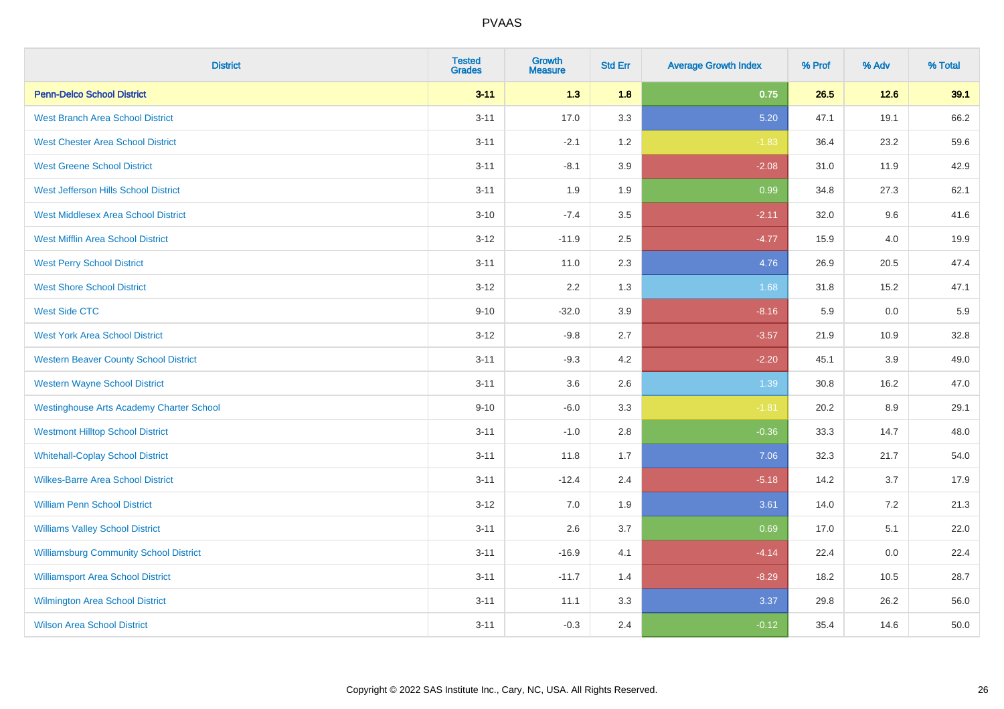| <b>District</b>                                 | <b>Tested</b><br><b>Grades</b> | <b>Growth</b><br><b>Measure</b> | <b>Std Err</b> | <b>Average Growth Index</b> | % Prof | % Adv | % Total |
|-------------------------------------------------|--------------------------------|---------------------------------|----------------|-----------------------------|--------|-------|---------|
| <b>Penn-Delco School District</b>               | $3 - 11$                       | 1.3                             | 1.8            | 0.75                        | 26.5   | 12.6  | 39.1    |
| <b>West Branch Area School District</b>         | $3 - 11$                       | 17.0                            | 3.3            | 5.20                        | 47.1   | 19.1  | 66.2    |
| <b>West Chester Area School District</b>        | $3 - 11$                       | $-2.1$                          | 1.2            | $-1.83$                     | 36.4   | 23.2  | 59.6    |
| <b>West Greene School District</b>              | $3 - 11$                       | $-8.1$                          | 3.9            | $-2.08$                     | 31.0   | 11.9  | 42.9    |
| West Jefferson Hills School District            | $3 - 11$                       | 1.9                             | 1.9            | 0.99                        | 34.8   | 27.3  | 62.1    |
| <b>West Middlesex Area School District</b>      | $3 - 10$                       | $-7.4$                          | 3.5            | $-2.11$                     | 32.0   | 9.6   | 41.6    |
| <b>West Mifflin Area School District</b>        | $3 - 12$                       | $-11.9$                         | 2.5            | $-4.77$                     | 15.9   | 4.0   | 19.9    |
| <b>West Perry School District</b>               | $3 - 11$                       | 11.0                            | 2.3            | 4.76                        | 26.9   | 20.5  | 47.4    |
| <b>West Shore School District</b>               | $3 - 12$                       | 2.2                             | 1.3            | 1.68                        | 31.8   | 15.2  | 47.1    |
| <b>West Side CTC</b>                            | $9 - 10$                       | $-32.0$                         | 3.9            | $-8.16$                     | 5.9    | 0.0   | 5.9     |
| <b>West York Area School District</b>           | $3 - 12$                       | $-9.8$                          | 2.7            | $-3.57$                     | 21.9   | 10.9  | 32.8    |
| <b>Western Beaver County School District</b>    | $3 - 11$                       | $-9.3$                          | 4.2            | $-2.20$                     | 45.1   | 3.9   | 49.0    |
| <b>Western Wayne School District</b>            | $3 - 11$                       | 3.6                             | 2.6            | 1.39                        | 30.8   | 16.2  | 47.0    |
| <b>Westinghouse Arts Academy Charter School</b> | $9 - 10$                       | $-6.0$                          | 3.3            | $-1.81$                     | 20.2   | 8.9   | 29.1    |
| <b>Westmont Hilltop School District</b>         | $3 - 11$                       | $-1.0$                          | 2.8            | $-0.36$                     | 33.3   | 14.7  | 48.0    |
| <b>Whitehall-Coplay School District</b>         | $3 - 11$                       | 11.8                            | 1.7            | 7.06                        | 32.3   | 21.7  | 54.0    |
| <b>Wilkes-Barre Area School District</b>        | $3 - 11$                       | $-12.4$                         | 2.4            | $-5.18$                     | 14.2   | 3.7   | 17.9    |
| <b>William Penn School District</b>             | $3 - 12$                       | 7.0                             | 1.9            | 3.61                        | 14.0   | 7.2   | 21.3    |
| <b>Williams Valley School District</b>          | $3 - 11$                       | 2.6                             | 3.7            | 0.69                        | 17.0   | 5.1   | 22.0    |
| <b>Williamsburg Community School District</b>   | $3 - 11$                       | $-16.9$                         | 4.1            | $-4.14$                     | 22.4   | 0.0   | 22.4    |
| <b>Williamsport Area School District</b>        | $3 - 11$                       | $-11.7$                         | 1.4            | $-8.29$                     | 18.2   | 10.5  | 28.7    |
| Wilmington Area School District                 | $3 - 11$                       | 11.1                            | 3.3            | 3.37                        | 29.8   | 26.2  | 56.0    |
| <b>Wilson Area School District</b>              | $3 - 11$                       | $-0.3$                          | 2.4            | $-0.12$                     | 35.4   | 14.6  | 50.0    |